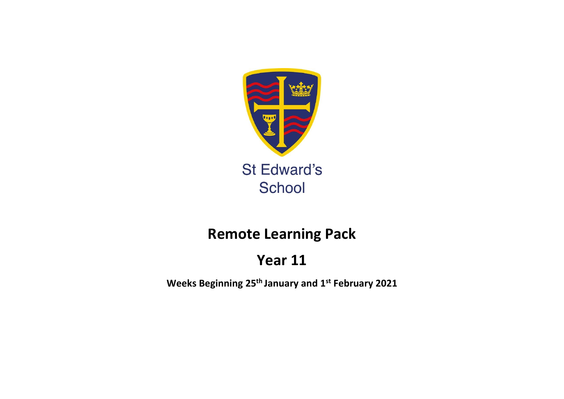

# **Remote Learning Pack**

# **Year 11**

**Weeks Beginning 25th January and 1 st February 2021**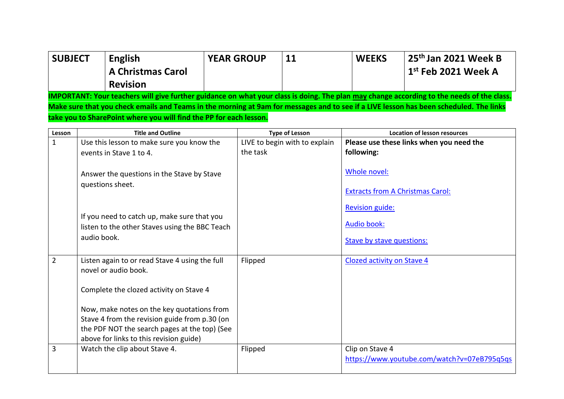| <b>SUBJECT</b> |             | <b>English</b><br><b>A Christmas Carol</b>                             | <b>YEAR GROUP</b> |          | 11                            | <b>WEEKS</b>                      | 25th Jan 2021 Week B<br>$1st$ Feb 2021 Week A                                                                                             |
|----------------|-------------|------------------------------------------------------------------------|-------------------|----------|-------------------------------|-----------------------------------|-------------------------------------------------------------------------------------------------------------------------------------------|
|                |             | <b>Revision</b>                                                        |                   |          |                               |                                   |                                                                                                                                           |
|                |             |                                                                        |                   |          |                               |                                   | IMPORTANT: Your teachers will give further guidance on what your class is doing. The plan may change according to the needs of the class. |
|                |             |                                                                        |                   |          |                               |                                   | Make sure that you check emails and Teams in the morning at 9am for messages and to see if a LIVE lesson has been scheduled. The links    |
|                |             | take you to SharePoint where you will find the PP for each lesson.     |                   |          |                               |                                   |                                                                                                                                           |
| Lesson         |             | <b>Title and Outline</b>                                               |                   |          | <b>Type of Lesson</b>         |                                   | <b>Location of lesson resources</b>                                                                                                       |
| $\mathbf{1}$   |             | Use this lesson to make sure you know the                              |                   |          | LIVE to begin with to explain |                                   | Please use these links when you need the                                                                                                  |
|                |             | events in Stave 1 to 4.                                                |                   | the task |                               | following:                        |                                                                                                                                           |
|                |             | Answer the questions in the Stave by Stave<br>questions sheet.         |                   |          |                               | Whole novel:                      |                                                                                                                                           |
|                |             |                                                                        |                   |          |                               |                                   | <b>Extracts from A Christmas Carol:</b>                                                                                                   |
|                |             | If you need to catch up, make sure that you                            |                   |          |                               | <b>Revision guide:</b>            |                                                                                                                                           |
|                |             | listen to the other Staves using the BBC Teach                         |                   |          |                               | <b>Audio book:</b>                |                                                                                                                                           |
|                | audio book. |                                                                        |                   |          |                               | Stave by stave questions:         |                                                                                                                                           |
|                |             |                                                                        |                   |          |                               |                                   |                                                                                                                                           |
| $\overline{2}$ |             | Listen again to or read Stave 4 using the full<br>novel or audio book. |                   | Flipped  |                               | <b>Clozed activity on Stave 4</b> |                                                                                                                                           |
|                |             | Complete the clozed activity on Stave 4                                |                   |          |                               |                                   |                                                                                                                                           |
|                |             | Now, make notes on the key quotations from                             |                   |          |                               |                                   |                                                                                                                                           |
|                |             | Stave 4 from the revision guide from p.30 (on                          |                   |          |                               |                                   |                                                                                                                                           |
|                |             | the PDF NOT the search pages at the top) (See                          |                   |          |                               |                                   |                                                                                                                                           |
|                |             | above for links to this revision guide)                                |                   |          |                               |                                   |                                                                                                                                           |
| 3              |             | Watch the clip about Stave 4.                                          |                   | Flipped  |                               | Clip on Stave 4                   | https://www.youtube.com/watch?v=07eB795q5qs                                                                                               |
|                |             |                                                                        |                   |          |                               |                                   |                                                                                                                                           |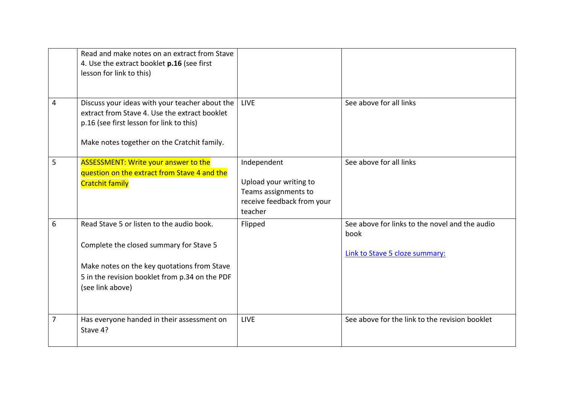| 4 | Read and make notes on an extract from Stave<br>4. Use the extract booklet p.16 (see first<br>lesson for link to this)<br>Discuss your ideas with your teacher about the<br>extract from Stave 4. Use the extract booklet<br>p.16 (see first lesson for link to this) | <b>LIVE</b>                                                                                            | See above for all links                                                                  |
|---|-----------------------------------------------------------------------------------------------------------------------------------------------------------------------------------------------------------------------------------------------------------------------|--------------------------------------------------------------------------------------------------------|------------------------------------------------------------------------------------------|
|   | Make notes together on the Cratchit family.                                                                                                                                                                                                                           |                                                                                                        |                                                                                          |
| 5 | <b>ASSESSMENT: Write your answer to the</b><br>question on the extract from Stave 4 and the<br><b>Cratchit family</b>                                                                                                                                                 | Independent<br>Upload your writing to<br>Teams assignments to<br>receive feedback from your<br>teacher | See above for all links                                                                  |
| 6 | Read Stave 5 or listen to the audio book.<br>Complete the closed summary for Stave 5<br>Make notes on the key quotations from Stave<br>5 in the revision booklet from p.34 on the PDF<br>(see link above)                                                             | Flipped                                                                                                | See above for links to the novel and the audio<br>book<br>Link to Stave 5 cloze summary: |
| 7 | Has everyone handed in their assessment on<br>Stave 4?                                                                                                                                                                                                                | <b>LIVE</b>                                                                                            | See above for the link to the revision booklet                                           |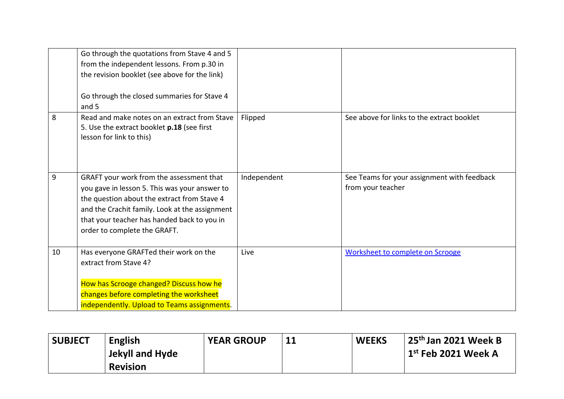|    | Go through the quotations from Stave 4 and 5<br>from the independent lessons. From p.30 in<br>the revision booklet (see above for the link)<br>Go through the closed summaries for Stave 4<br>and 5                                                                       |             |                                                                  |
|----|---------------------------------------------------------------------------------------------------------------------------------------------------------------------------------------------------------------------------------------------------------------------------|-------------|------------------------------------------------------------------|
| 8  | Read and make notes on an extract from Stave<br>5. Use the extract booklet p.18 (see first<br>lesson for link to this)                                                                                                                                                    | Flipped     | See above for links to the extract booklet                       |
| 9  | GRAFT your work from the assessment that<br>you gave in lesson 5. This was your answer to<br>the question about the extract from Stave 4<br>and the Crachit family. Look at the assignment<br>that your teacher has handed back to you in<br>order to complete the GRAFT. | Independent | See Teams for your assignment with feedback<br>from your teacher |
| 10 | Has everyone GRAFTed their work on the<br>extract from Stave 4?<br>How has Scrooge changed? Discuss how he<br>changes before completing the worksheet<br>independently. Upload to Teams assignments.                                                                      | Live        | <b>Worksheet to complete on Scrooge</b>                          |

| <b>SUBJECT</b> | <b>English</b>  | <b>YEAR GROUP</b> | <b>WEEKS</b> | 25 <sup>th</sup> Jan 2021 Week B      |
|----------------|-----------------|-------------------|--------------|---------------------------------------|
|                | Jekyll and Hyde |                   |              | $\vert$ 1 $^{\rm st}$ Feb 2021 Week A |
|                | <b>Revision</b> |                   |              |                                       |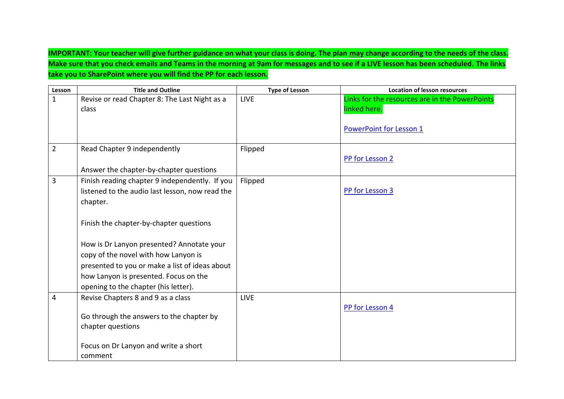**IMPORTANT: Your teacher will give further guidance on what your class is doing. The plan may change according to the needs of the class. Make sure that you check emails and Teams in the morning at 9am for messages and to see if a LIVE lesson has been scheduled. The links take you to SharePoint where you will find the PP for each lesson.**

| Lesson         | <b>Title and Outline</b>                        | <b>Type of Lesson</b> | <b>Location of lesson resources</b>            |
|----------------|-------------------------------------------------|-----------------------|------------------------------------------------|
| $\mathbf{1}$   | Revise or read Chapter 8: The Last Night as a   | <b>LIVE</b>           | Links for the resources are in the PowerPoints |
|                | class                                           |                       | linked here.                                   |
|                |                                                 |                       |                                                |
|                |                                                 |                       | <b>PowerPoint for Lesson 1</b>                 |
|                |                                                 |                       |                                                |
| $\overline{2}$ | Read Chapter 9 independently                    | Flipped               |                                                |
|                |                                                 |                       | PP for Lesson 2                                |
|                | Answer the chapter-by-chapter questions         |                       |                                                |
| 3              | Finish reading chapter 9 independently. If you  | Flipped               |                                                |
|                | listened to the audio last lesson, now read the |                       | PP for Lesson 3                                |
|                | chapter.                                        |                       |                                                |
|                |                                                 |                       |                                                |
|                | Finish the chapter-by-chapter questions         |                       |                                                |
|                |                                                 |                       |                                                |
|                | How is Dr Lanyon presented? Annotate your       |                       |                                                |
|                | copy of the novel with how Lanyon is            |                       |                                                |
|                | presented to you or make a list of ideas about  |                       |                                                |
|                | how Lanyon is presented. Focus on the           |                       |                                                |
|                | opening to the chapter (his letter).            |                       |                                                |
| 4              | Revise Chapters 8 and 9 as a class              | <b>LIVE</b>           |                                                |
|                |                                                 |                       | PP for Lesson 4                                |
|                | Go through the answers to the chapter by        |                       |                                                |
|                | chapter questions                               |                       |                                                |
|                |                                                 |                       |                                                |
|                | Focus on Dr Lanyon and write a short            |                       |                                                |
|                | comment                                         |                       |                                                |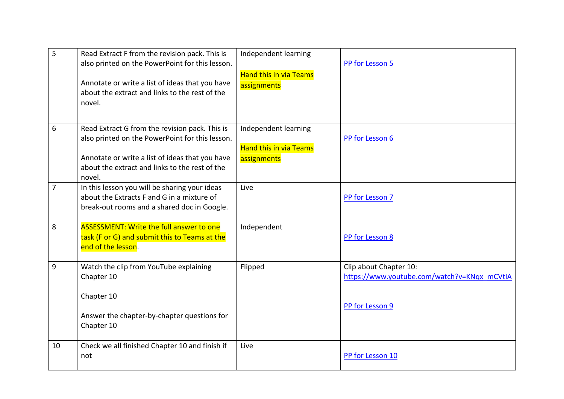| 5              | Read Extract F from the revision pack. This is<br>also printed on the PowerPoint for this lesson.<br>Annotate or write a list of ideas that you have<br>about the extract and links to the rest of the<br>novel. | Independent learning<br><b>Hand this in via Teams</b><br>assignments | PP for Lesson 5                                                                          |
|----------------|------------------------------------------------------------------------------------------------------------------------------------------------------------------------------------------------------------------|----------------------------------------------------------------------|------------------------------------------------------------------------------------------|
| 6              | Read Extract G from the revision pack. This is<br>also printed on the PowerPoint for this lesson.<br>Annotate or write a list of ideas that you have<br>about the extract and links to the rest of the<br>novel. | Independent learning<br><b>Hand this in via Teams</b><br>assignments | PP for Lesson 6                                                                          |
| $\overline{7}$ | In this lesson you will be sharing your ideas<br>about the Extracts F and G in a mixture of<br>break-out rooms and a shared doc in Google.                                                                       | Live                                                                 | PP for Lesson 7                                                                          |
| 8              | <b>ASSESSMENT: Write the full answer to one</b><br>task (F or G) and submit this to Teams at the<br>end of the lesson.                                                                                           | Independent                                                          | PP for Lesson 8                                                                          |
| 9              | Watch the clip from YouTube explaining<br>Chapter 10<br>Chapter 10<br>Answer the chapter-by-chapter questions for<br>Chapter 10                                                                                  | Flipped                                                              | Clip about Chapter 10:<br>https://www.youtube.com/watch?v=KNqx_mCVtIA<br>PP for Lesson 9 |
| 10             | Check we all finished Chapter 10 and finish if<br>not                                                                                                                                                            | Live                                                                 | PP for Lesson 10                                                                         |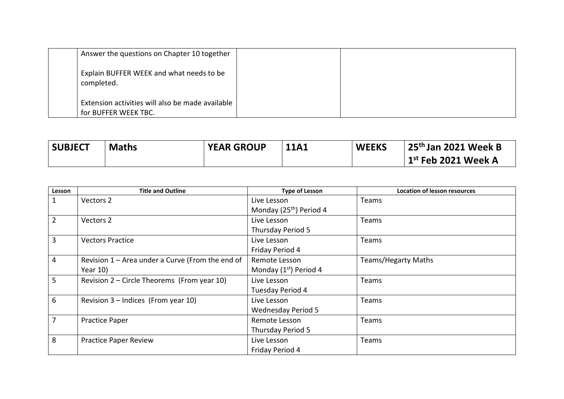|            | Answer the questions on Chapter 10 together                              |  |
|------------|--------------------------------------------------------------------------|--|
| completed. | Explain BUFFER WEEK and what needs to be                                 |  |
|            | Extension activities will also be made available<br>for BUFFER WEEK TBC. |  |

| <b>SUBJECT</b> | <b>Maths</b> | <b>YEAR GROUP</b> | <b>11A1</b> | <b>WEEKS</b> | 25 <sup>th</sup> Jan 2021 Week B     |
|----------------|--------------|-------------------|-------------|--------------|--------------------------------------|
|                |              |                   |             |              | $\mid$ 1 $^{\rm st}$ Feb 2021 Week A |

| Lesson         | <b>Title and Outline</b>                         | <b>Type of Lesson</b>               | <b>Location of lesson resources</b> |
|----------------|--------------------------------------------------|-------------------------------------|-------------------------------------|
| $\mathbf{1}$   | Vectors 2                                        | Live Lesson                         | Teams                               |
|                |                                                  | Monday (25 <sup>th</sup> ) Period 4 |                                     |
| $\overline{2}$ | Vectors 2                                        | Live Lesson                         | Teams                               |
|                |                                                  | Thursday Period 5                   |                                     |
| 3              | <b>Vectors Practice</b>                          | Live Lesson                         | Teams                               |
|                |                                                  | Friday Period 4                     |                                     |
| 4              | Revision 1 - Area under a Curve (From the end of | Remote Lesson                       | <b>Teams/Hegarty Maths</b>          |
|                | Year 10)                                         | Monday (1 <sup>st</sup> ) Period 4  |                                     |
| $5\phantom{.}$ | Revision 2 – Circle Theorems (From year 10)      | Live Lesson                         | Teams                               |
|                |                                                  | Tuesday Period 4                    |                                     |
| 6              | Revision $3$ – Indices (From year 10)            | Live Lesson                         | Teams                               |
|                |                                                  | <b>Wednesday Period 5</b>           |                                     |
| $\overline{7}$ | <b>Practice Paper</b>                            | Remote Lesson                       | Teams                               |
|                |                                                  | Thursday Period 5                   |                                     |
| 8              | <b>Practice Paper Review</b>                     | Live Lesson                         | Teams                               |
|                |                                                  | Friday Period 4                     |                                     |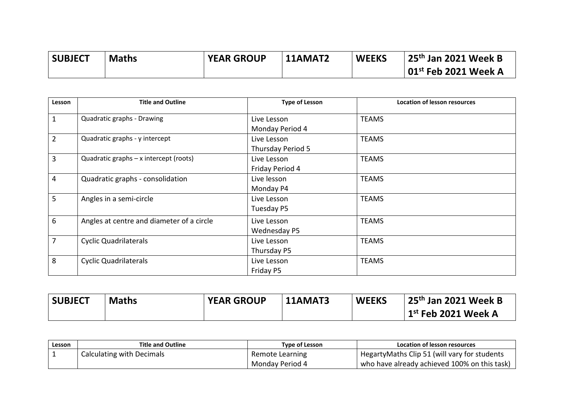| <b>SUBJECT</b> | <b>Maths</b> | <b>YEAR GROUP</b> | 11AMAT2 | <b>WEEKS</b> | 25 <sup>th</sup> Jan 2021 Week B         |
|----------------|--------------|-------------------|---------|--------------|------------------------------------------|
|                |              |                   |         |              | $\vert$ 01 <sup>st</sup> Feb 2021 Week A |

| Lesson         | <b>Title and Outline</b>                  | <b>Type of Lesson</b>            | <b>Location of lesson resources</b> |
|----------------|-------------------------------------------|----------------------------------|-------------------------------------|
| $\mathbf{1}$   | Quadratic graphs - Drawing                | Live Lesson<br>Monday Period 4   | <b>TEAMS</b>                        |
| $\overline{2}$ | Quadratic graphs - y intercept            | Live Lesson<br>Thursday Period 5 | <b>TEAMS</b>                        |
| $\overline{3}$ | Quadratic graphs - x intercept (roots)    | Live Lesson<br>Friday Period 4   | <b>TEAMS</b>                        |
| $\overline{4}$ | Quadratic graphs - consolidation          | Live lesson<br>Monday P4         | <b>TEAMS</b>                        |
| 5              | Angles in a semi-circle                   | Live Lesson<br>Tuesday P5        | <b>TEAMS</b>                        |
| 6              | Angles at centre and diameter of a circle | Live Lesson<br>Wednesday P5      | <b>TEAMS</b>                        |
| $\overline{7}$ | <b>Cyclic Quadrilaterals</b>              | Live Lesson<br>Thursday P5       | <b>TEAMS</b>                        |
| 8              | <b>Cyclic Quadrilaterals</b>              | Live Lesson<br>Friday P5         | <b>TEAMS</b>                        |

| <b>SUBJECT</b> | <b>Maths</b> | <b>YEAR GROUP</b> | $\mathsf{114}$ MAT3 | <b>WEEKS</b> | 125 <sup>th</sup> Jan 2021 Week B    |
|----------------|--------------|-------------------|---------------------|--------------|--------------------------------------|
|                |              |                   |                     |              | $\mid$ 1 $^{\rm st}$ Feb 2021 Week A |

| Lesson | <b>Title and Outline</b>  | <b>Type of Lesson</b> | Location of lesson resources                  |
|--------|---------------------------|-----------------------|-----------------------------------------------|
|        | Calculating with Decimals | Remote Learning       | Hegarty Maths Clip 51 (will vary for students |
|        |                           | Monday Period 4       | who have already achieved 100% on this task)  |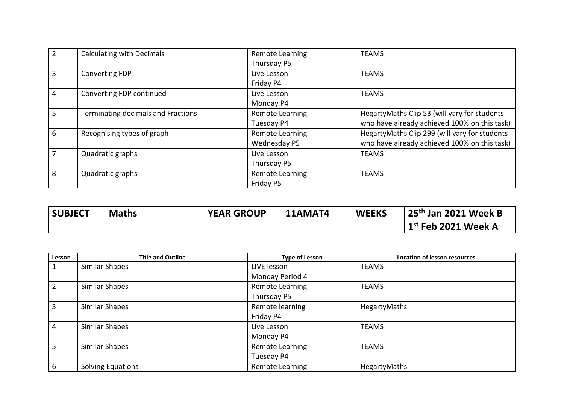| $\overline{2}$ | <b>Calculating with Decimals</b>   | <b>Remote Learning</b> | <b>TEAMS</b>                                  |
|----------------|------------------------------------|------------------------|-----------------------------------------------|
|                |                                    | Thursday P5            |                                               |
| 3              | <b>Converting FDP</b>              | Live Lesson            | <b>TEAMS</b>                                  |
|                |                                    | Friday P4              |                                               |
| $\overline{4}$ | Converting FDP continued           | Live Lesson            | <b>TEAMS</b>                                  |
|                |                                    | Monday P4              |                                               |
| 5              | Terminating decimals and Fractions | <b>Remote Learning</b> | HegartyMaths Clip 53 (will vary for students  |
|                |                                    | Tuesday P4             | who have already achieved 100% on this task)  |
| 6              | Recognising types of graph         | <b>Remote Learning</b> | HegartyMaths Clip 299 (will vary for students |
|                |                                    | Wednesday P5           | who have already achieved 100% on this task)  |
|                | Quadratic graphs                   | Live Lesson            | <b>TEAMS</b>                                  |
|                |                                    | Thursday P5            |                                               |
| 8              | Quadratic graphs                   | <b>Remote Learning</b> | <b>TEAMS</b>                                  |
|                |                                    | Friday P5              |                                               |

| <b>SUBJECT</b> | <b>Maths</b> | <b>YEAR GROUP</b> | <b>11AMAT4</b> | <b>WEEKS</b> | 25 <sup>th</sup> Jan 2021 Week B |
|----------------|--------------|-------------------|----------------|--------------|----------------------------------|
|                |              |                   |                |              | $1st$ Feb 2021 Week A            |

| Lesson         | <b>Title and Outline</b> | <b>Type of Lesson</b> | <b>Location of lesson resources</b> |
|----------------|--------------------------|-----------------------|-------------------------------------|
| $\mathbf{1}$   | Similar Shapes           | LIVE lesson           | <b>TEAMS</b>                        |
|                |                          | Monday Period 4       |                                     |
| $\overline{2}$ | Similar Shapes           | Remote Learning       | <b>TEAMS</b>                        |
|                |                          | Thursday P5           |                                     |
| $\overline{3}$ | Similar Shapes           | Remote learning       | HegartyMaths                        |
|                |                          | Friday P4             |                                     |
| $\overline{4}$ | Similar Shapes           | Live Lesson           | <b>TEAMS</b>                        |
|                |                          | Monday P4             |                                     |
| 5 <sup>5</sup> | Similar Shapes           | Remote Learning       | <b>TEAMS</b>                        |
|                |                          | Tuesday P4            |                                     |
| 6              | <b>Solving Equations</b> | Remote Learning       | <b>HegartyMaths</b>                 |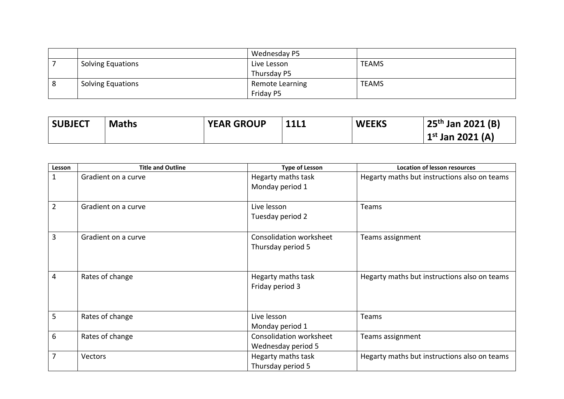|   |                          | Wednesday P5    |              |
|---|--------------------------|-----------------|--------------|
|   | <b>Solving Equations</b> | Live Lesson     | <b>TEAMS</b> |
|   |                          | Thursday P5     |              |
| 8 | <b>Solving Equations</b> | Remote Learning | <b>TEAMS</b> |
|   |                          | Friday P5       |              |

| <b>SUBJECT</b> | <b>Maths</b> | <b>YEAR GROUP</b> | <b>11L1</b> | <b>WEEKS</b> | $25th$ Jan 2021 (B)   |
|----------------|--------------|-------------------|-------------|--------------|-----------------------|
|                |              |                   |             |              | $1^{st}$ Jan 2021 (A) |

| $\mathbf{1}$<br>Hegarty maths task<br>Hegarty maths but instructions also on teams<br>Gradient on a curve<br>Monday period 1<br>$\overline{2}$<br>Live lesson<br>Gradient on a curve<br>Teams |  |
|-----------------------------------------------------------------------------------------------------------------------------------------------------------------------------------------------|--|
|                                                                                                                                                                                               |  |
|                                                                                                                                                                                               |  |
|                                                                                                                                                                                               |  |
|                                                                                                                                                                                               |  |
| Tuesday period 2                                                                                                                                                                              |  |
| $\overline{3}$<br>Consolidation worksheet<br>Gradient on a curve<br>Teams assignment                                                                                                          |  |
| Thursday period 5                                                                                                                                                                             |  |
|                                                                                                                                                                                               |  |
|                                                                                                                                                                                               |  |
| $\overline{4}$<br>Rates of change<br>Hegarty maths task<br>Hegarty maths but instructions also on teams                                                                                       |  |
| Friday period 3                                                                                                                                                                               |  |
|                                                                                                                                                                                               |  |
| 5<br>Rates of change<br>Live lesson<br>Teams                                                                                                                                                  |  |
| Monday period 1                                                                                                                                                                               |  |
| 6<br>Consolidation worksheet<br>Rates of change<br>Teams assignment                                                                                                                           |  |
| Wednesday period 5                                                                                                                                                                            |  |
| $\overline{7}$<br>Hegarty maths task<br>Hegarty maths but instructions also on teams<br>Vectors                                                                                               |  |
| Thursday period 5                                                                                                                                                                             |  |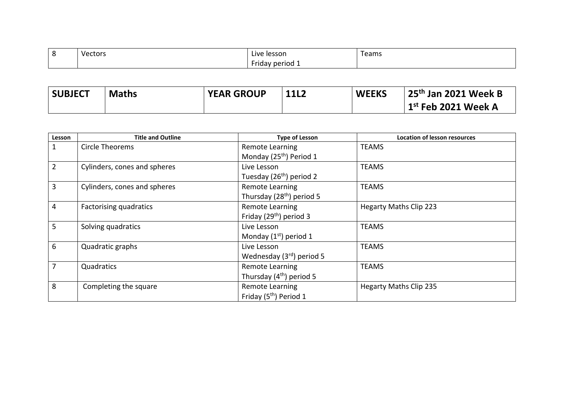| റ<br>ັ | $\cdot$ $\cdot$<br>Vectors<br>- - - - - | Live lesson<br>-----                        | Teams |
|--------|-----------------------------------------|---------------------------------------------|-------|
|        |                                         | $\sim$<br><b>Friday period <sub>+</sub></b> |       |

| <b>SUBJECT</b> | <b>Maths</b> | <b>YEAR GROUP</b> | <b>11L2</b> | <b>WEEKS</b> | 25 <sup>th</sup> Jan 2021 Week B         |
|----------------|--------------|-------------------|-------------|--------------|------------------------------------------|
|                |              |                   |             |              | $^{\rm l}$ 1 $^{\rm st}$ Feb 2021 Week A |

| Lesson         | <b>Title and Outline</b>     | <b>Type of Lesson</b>                 | <b>Location of lesson resources</b> |
|----------------|------------------------------|---------------------------------------|-------------------------------------|
| $\mathbf{1}$   | Circle Theorems              | Remote Learning                       | <b>TEAMS</b>                        |
|                |                              | Monday (25 <sup>th</sup> ) Period 1   |                                     |
| $2^{\circ}$    | Cylinders, cones and spheres | Live Lesson                           | <b>TEAMS</b>                        |
|                |                              | Tuesday (26 <sup>th</sup> ) period 2  |                                     |
| $\overline{3}$ | Cylinders, cones and spheres | <b>Remote Learning</b>                | <b>TEAMS</b>                        |
|                |                              | Thursday (28 <sup>th</sup> ) period 5 |                                     |
| 4              | Factorising quadratics       | Remote Learning                       | <b>Hegarty Maths Clip 223</b>       |
|                |                              | Friday (29 <sup>th</sup> ) period 3   |                                     |
| 5 <sup>1</sup> | Solving quadratics           | Live Lesson                           | <b>TEAMS</b>                        |
|                |                              | Monday $(1st)$ period 1               |                                     |
| 6              | Quadratic graphs             | Live Lesson                           | <b>TEAMS</b>                        |
|                |                              | Wednesday $(3rd)$ period 5            |                                     |
| $\overline{7}$ | Quadratics                   | Remote Learning                       | <b>TEAMS</b>                        |
|                |                              | Thursday $(4th)$ period 5             |                                     |
| 8              | Completing the square        | Remote Learning                       | <b>Hegarty Maths Clip 235</b>       |
|                |                              | Friday (5 <sup>th</sup> ) Period 1    |                                     |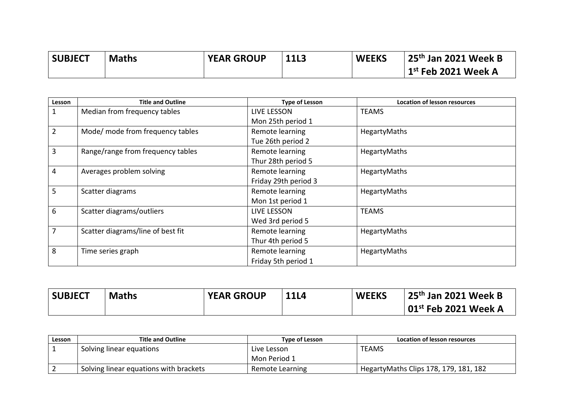| <b>SUBJECT</b> | <b>Maths</b> | <b>YEAR GROUP</b> | <b>11L3</b> | <b>WEEKS</b> | 25 <sup>th</sup> Jan 2021 Week B |
|----------------|--------------|-------------------|-------------|--------------|----------------------------------|
|                |              |                   |             |              | $1st$ Feb 2021 Week A            |

| Lesson | <b>Title and Outline</b>          | <b>Type of Lesson</b> | <b>Location of lesson resources</b> |
|--------|-----------------------------------|-----------------------|-------------------------------------|
| 1      | Median from frequency tables      | LIVE LESSON           | <b>TEAMS</b>                        |
|        |                                   | Mon 25th period 1     |                                     |
| 2      | Mode/ mode from frequency tables  | Remote learning       | HegartyMaths                        |
|        |                                   | Tue 26th period 2     |                                     |
| 3      | Range/range from frequency tables | Remote learning       | HegartyMaths                        |
|        |                                   | Thur 28th period 5    |                                     |
| 4      | Averages problem solving          | Remote learning       | HegartyMaths                        |
|        |                                   | Friday 29th period 3  |                                     |
| 5      | Scatter diagrams                  | Remote learning       | HegartyMaths                        |
|        |                                   | Mon 1st period 1      |                                     |
| 6      | Scatter diagrams/outliers         | <b>LIVE LESSON</b>    | <b>TEAMS</b>                        |
|        |                                   | Wed 3rd period 5      |                                     |
|        | Scatter diagrams/line of best fit | Remote learning       | HegartyMaths                        |
|        |                                   | Thur 4th period 5     |                                     |
| 8      | Time series graph                 | Remote learning       | HegartyMaths                        |
|        |                                   | Friday 5th period 1   |                                     |

| <b>SUBJECT</b> | <b>Maths</b> | <b>YEAR GROUP</b> | <b>11L4</b> | <b>WEEKS</b> | 25 <sup>th</sup> Jan 2021 Week B      |
|----------------|--------------|-------------------|-------------|--------------|---------------------------------------|
|                |              |                   |             |              | $\,$ l 01 $^{\rm st}$ Feb 2021 Week A |

| Lesson | <b>Title and Outline</b>               | Type of Lesson  | Location of lesson resources           |
|--------|----------------------------------------|-----------------|----------------------------------------|
|        | Solving linear equations               | Live Lesson     | <b>TEAMS</b>                           |
|        |                                        | Mon Period 1    |                                        |
|        | Solving linear equations with brackets | Remote Learning | Hegarty Maths Clips 178, 179, 181, 182 |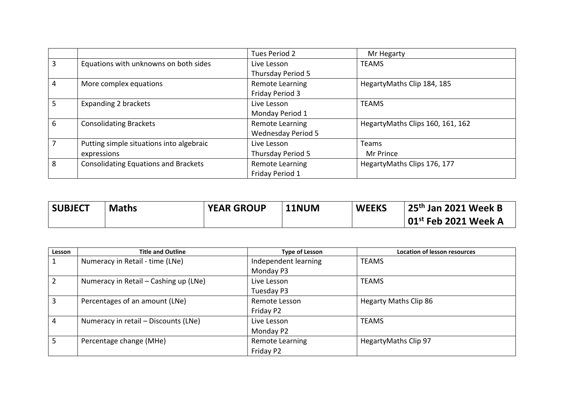|   |                                             | Tues Period 2             | Mr Hegarty                       |
|---|---------------------------------------------|---------------------------|----------------------------------|
| 3 | Equations with unknowns on both sides       | Live Lesson               | <b>TEAMS</b>                     |
|   |                                             | Thursday Period 5         |                                  |
| 4 | More complex equations                      | Remote Learning           | HegartyMaths Clip 184, 185       |
|   |                                             | Friday Period 3           |                                  |
| 5 | Expanding 2 brackets                        | Live Lesson               | <b>TEAMS</b>                     |
|   |                                             | Monday Period 1           |                                  |
| 6 | <b>Consolidating Brackets</b>               | Remote Learning           | HegartyMaths Clips 160, 161, 162 |
|   |                                             | <b>Wednesday Period 5</b> |                                  |
|   | Putting simple situations into algebraic    | Live Lesson               | <b>Teams</b>                     |
|   | expressions                                 | Thursday Period 5         | Mr Prince                        |
| 8 | <b>Consolidating Equations and Brackets</b> | Remote Learning           | HegartyMaths Clips 176, 177      |
|   |                                             | Friday Period 1           |                                  |

| <b>SUBJECT</b> | <b>Maths</b> | <b>YEAR GROUP</b> | 11NUM | <b>WEEKS</b> | 25 <sup>th</sup> Jan 2021 Week B      |
|----------------|--------------|-------------------|-------|--------------|---------------------------------------|
|                |              |                   |       |              | $\,$ l 01 $^{\rm st}$ Feb 2021 Week A |

| Lesson         | <b>Title and Outline</b>              | <b>Type of Lesson</b> | <b>Location of lesson resources</b> |
|----------------|---------------------------------------|-----------------------|-------------------------------------|
|                | Numeracy in Retail - time (LNe)       | Independent learning  | <b>TEAMS</b>                        |
|                |                                       | Monday P3             |                                     |
| 2              | Numeracy in Retail – Cashing up (LNe) | Live Lesson           | <b>TEAMS</b>                        |
|                |                                       | Tuesday P3            |                                     |
| 3              | Percentages of an amount (LNe)        | Remote Lesson         | <b>Hegarty Maths Clip 86</b>        |
|                |                                       | Friday P2             |                                     |
| $\overline{4}$ | Numeracy in retail - Discounts (LNe)  | Live Lesson           | <b>TEAMS</b>                        |
|                |                                       | Monday P2             |                                     |
| 5              | Percentage change (MHe)               | Remote Learning       | HegartyMaths Clip 97                |
|                |                                       | Friday P2             |                                     |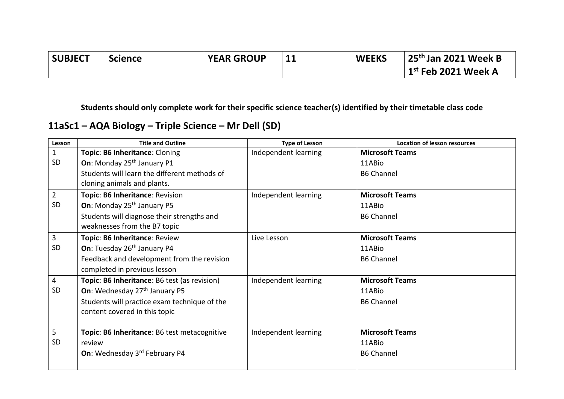| <b>SUBJECT</b> | <b>Science</b> | <b>YEAR GROUP</b> | <b>WEEKS</b> | 25 <sup>th</sup> Jan 2021 Week B |
|----------------|----------------|-------------------|--------------|----------------------------------|
|                |                |                   |              | $\vert$ 1st Feb 2021 Week A      |

## **11aSc1 – AQA Biology – Triple Science – Mr Dell (SD)**

| Lesson         | <b>Title and Outline</b>                     | <b>Type of Lesson</b> | <b>Location of lesson resources</b> |
|----------------|----------------------------------------------|-----------------------|-------------------------------------|
| $\mathbf 1$    | Topic: B6 Inheritance: Cloning               | Independent learning  | <b>Microsoft Teams</b>              |
| <b>SD</b>      | On: Monday 25 <sup>th</sup> January P1       |                       | 11ABio                              |
|                | Students will learn the different methods of |                       | <b>B6 Channel</b>                   |
|                | cloning animals and plants.                  |                       |                                     |
| $\overline{2}$ | Topic: B6 Inheritance: Revision              | Independent learning  | <b>Microsoft Teams</b>              |
| <b>SD</b>      | On: Monday 25 <sup>th</sup> January P5       |                       | 11ABio                              |
|                | Students will diagnose their strengths and   |                       | <b>B6 Channel</b>                   |
|                | weaknesses from the B7 topic                 |                       |                                     |
| 3              | Topic: B6 Inheritance: Review                | Live Lesson           | <b>Microsoft Teams</b>              |
| <b>SD</b>      | On: Tuesday 26 <sup>th</sup> January P4      |                       | 11ABio                              |
|                | Feedback and development from the revision   |                       | <b>B6 Channel</b>                   |
|                | completed in previous lesson                 |                       |                                     |
| 4              | Topic: B6 Inheritance: B6 test (as revision) | Independent learning  | <b>Microsoft Teams</b>              |
| <b>SD</b>      | On: Wednesday 27th January P5                |                       | 11ABio                              |
|                | Students will practice exam technique of the |                       | <b>B6 Channel</b>                   |
|                | content covered in this topic                |                       |                                     |
|                |                                              |                       |                                     |
| 5              | Topic: B6 Inheritance: B6 test metacognitive | Independent learning  | <b>Microsoft Teams</b>              |
| <b>SD</b>      | review                                       |                       | 11ABio                              |
|                | On: Wednesday 3rd February P4                |                       | <b>B6 Channel</b>                   |
|                |                                              |                       |                                     |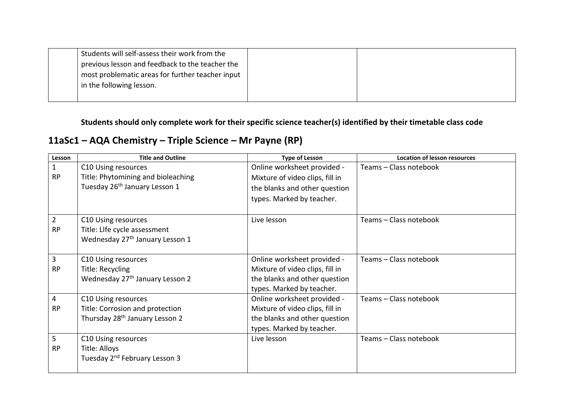| Students will self-assess their work from the    |  |
|--------------------------------------------------|--|
| previous lesson and feedback to the teacher the  |  |
| most problematic areas for further teacher input |  |
| in the following lesson.                         |  |
|                                                  |  |

**11aSc1 – AQA Chemistry – Triple Science – Mr Payne (RP)**

| Lesson         | <b>Title and Outline</b>                    | <b>Type of Lesson</b>           | <b>Location of lesson resources</b> |
|----------------|---------------------------------------------|---------------------------------|-------------------------------------|
| $\mathbf{1}$   | C10 Using resources                         | Online worksheet provided -     | Teams - Class notebook              |
| <b>RP</b>      | Title: Phytomining and bioleaching          | Mixture of video clips, fill in |                                     |
|                | Tuesday 26 <sup>th</sup> January Lesson 1   | the blanks and other question   |                                     |
|                |                                             | types. Marked by teacher.       |                                     |
| $\overline{2}$ | C10 Using resources                         | Live lesson                     | Teams - Class notebook              |
| <b>RP</b>      | Title: Life cycle assessment                |                                 |                                     |
|                | Wednesday 27 <sup>th</sup> January Lesson 1 |                                 |                                     |
| 3              | C10 Using resources                         | Online worksheet provided -     | Teams - Class notebook              |
| <b>RP</b>      | Title: Recycling                            | Mixture of video clips, fill in |                                     |
|                | Wednesday 27 <sup>th</sup> January Lesson 2 | the blanks and other question   |                                     |
|                |                                             | types. Marked by teacher.       |                                     |
| 4              | C10 Using resources                         | Online worksheet provided -     | Teams - Class notebook              |
| <b>RP</b>      | Title: Corrosion and protection             | Mixture of video clips, fill in |                                     |
|                | Thursday 28 <sup>th</sup> January Lesson 2  | the blanks and other question   |                                     |
|                |                                             | types. Marked by teacher.       |                                     |
| 5              | C10 Using resources                         | Live lesson                     | Teams - Class notebook              |
| <b>RP</b>      | Title: Alloys                               |                                 |                                     |
|                | Tuesday 2 <sup>nd</sup> February Lesson 3   |                                 |                                     |
|                |                                             |                                 |                                     |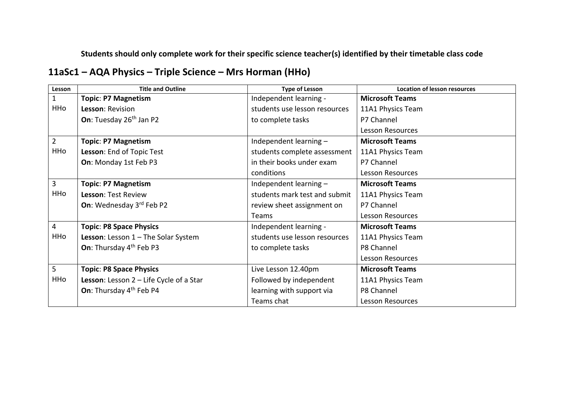## **11aSc1 – AQA Physics – Triple Science – Mrs Horman (HHo)**

| Lesson         | <b>Title and Outline</b>                         | <b>Type of Lesson</b>         | <b>Location of lesson resources</b> |
|----------------|--------------------------------------------------|-------------------------------|-------------------------------------|
| 1              | <b>Topic: P7 Magnetism</b>                       | Independent learning -        | <b>Microsoft Teams</b>              |
| HHo            | Lesson: Revision                                 | students use lesson resources | 11A1 Physics Team                   |
|                | On: Tuesday 26 <sup>th</sup> Jan P2              | to complete tasks             | P7 Channel                          |
|                |                                                  |                               | <b>Lesson Resources</b>             |
| $\overline{2}$ | <b>Topic: P7 Magnetism</b>                       | Independent learning -        | <b>Microsoft Teams</b>              |
| HHo            | Lesson: End of Topic Test                        | students complete assessment  | 11A1 Physics Team                   |
|                | On: Monday 1st Feb P3                            | in their books under exam     | P7 Channel                          |
|                |                                                  | conditions                    | <b>Lesson Resources</b>             |
| 3              | <b>Topic: P7 Magnetism</b>                       | Independent learning -        | <b>Microsoft Teams</b>              |
| HHo            | <b>Lesson: Test Review</b>                       | students mark test and submit | 11A1 Physics Team                   |
|                | On: Wednesday 3rd Feb P2                         | review sheet assignment on    | P7 Channel                          |
|                |                                                  | Teams                         | <b>Lesson Resources</b>             |
| 4              | <b>Topic: P8 Space Physics</b>                   | Independent learning -        | <b>Microsoft Teams</b>              |
| HHo            | <b>Lesson:</b> Lesson $1 -$ The Solar System     | students use lesson resources | 11A1 Physics Team                   |
|                | On: Thursday 4 <sup>th</sup> Feb P3              | to complete tasks             | P8 Channel                          |
|                |                                                  |                               | <b>Lesson Resources</b>             |
| 5              | <b>Topic: P8 Space Physics</b>                   | Live Lesson 12.40pm           | <b>Microsoft Teams</b>              |
| HHo            | <b>Lesson:</b> Lesson $2 -$ Life Cycle of a Star | Followed by independent       | 11A1 Physics Team                   |
|                | On: Thursday 4 <sup>th</sup> Feb P4              | learning with support via     | P8 Channel                          |
|                |                                                  | Teams chat                    | Lesson Resources                    |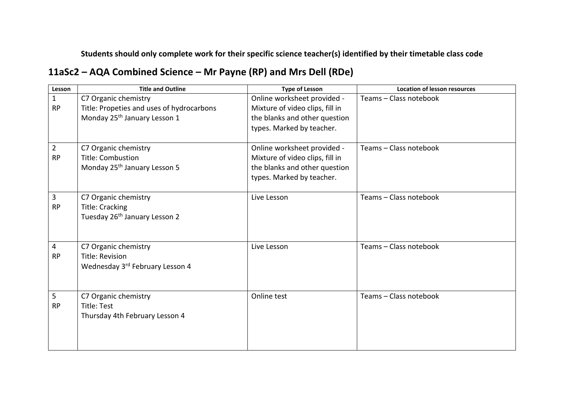# **11aSc2 – AQA Combined Science – Mr Payne (RP) and Mrs Dell (RDe)**

| Lesson         | <b>Title and Outline</b>                  | <b>Type of Lesson</b>           | <b>Location of lesson resources</b> |
|----------------|-------------------------------------------|---------------------------------|-------------------------------------|
| $\mathbf 1$    | C7 Organic chemistry                      | Online worksheet provided -     | Teams - Class notebook              |
| <b>RP</b>      | Title: Propeties and uses of hydrocarbons | Mixture of video clips, fill in |                                     |
|                | Monday 25 <sup>th</sup> January Lesson 1  | the blanks and other question   |                                     |
|                |                                           | types. Marked by teacher.       |                                     |
|                |                                           |                                 |                                     |
| $\overline{2}$ | C7 Organic chemistry                      | Online worksheet provided -     | Teams - Class notebook              |
| <b>RP</b>      | <b>Title: Combustion</b>                  | Mixture of video clips, fill in |                                     |
|                | Monday 25 <sup>th</sup> January Lesson 5  | the blanks and other question   |                                     |
|                |                                           | types. Marked by teacher.       |                                     |
|                |                                           |                                 |                                     |
| 3              | C7 Organic chemistry                      | Live Lesson                     | Teams - Class notebook              |
| <b>RP</b>      | <b>Title: Cracking</b>                    |                                 |                                     |
|                | Tuesday 26 <sup>th</sup> January Lesson 2 |                                 |                                     |
|                |                                           |                                 |                                     |
|                |                                           |                                 |                                     |
| 4              | C7 Organic chemistry                      | Live Lesson                     | Teams - Class notebook              |
| <b>RP</b>      | Title: Revision                           |                                 |                                     |
|                | Wednesday 3rd February Lesson 4           |                                 |                                     |
|                |                                           |                                 |                                     |
|                |                                           |                                 |                                     |
| 5              | C7 Organic chemistry                      | Online test                     | Teams - Class notebook              |
| <b>RP</b>      | Title: Test                               |                                 |                                     |
|                | Thursday 4th February Lesson 4            |                                 |                                     |
|                |                                           |                                 |                                     |
|                |                                           |                                 |                                     |
|                |                                           |                                 |                                     |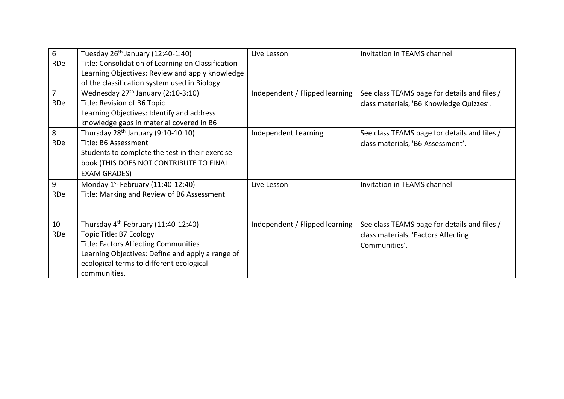| 6              | Tuesday $26th$ January (12:40-1:40)                | Live Lesson                    | Invitation in TEAMS channel                  |
|----------------|----------------------------------------------------|--------------------------------|----------------------------------------------|
| RDe            | Title: Consolidation of Learning on Classification |                                |                                              |
|                | Learning Objectives: Review and apply knowledge    |                                |                                              |
|                | of the classification system used in Biology       |                                |                                              |
| $\overline{7}$ | Wednesday 27 <sup>th</sup> January (2:10-3:10)     | Independent / Flipped learning | See class TEAMS page for details and files / |
| RDe            | Title: Revision of B6 Topic                        |                                | class materials, 'B6 Knowledge Quizzes'.     |
|                | Learning Objectives: Identify and address          |                                |                                              |
|                | knowledge gaps in material covered in B6           |                                |                                              |
| 8              | Thursday $28th$ January (9:10-10:10)               | Independent Learning           | See class TEAMS page for details and files / |
| RDe            | Title: B6 Assessment                               |                                | class materials, 'B6 Assessment'.            |
|                | Students to complete the test in their exercise    |                                |                                              |
|                | book (THIS DOES NOT CONTRIBUTE TO FINAL            |                                |                                              |
|                | <b>EXAM GRADES)</b>                                |                                |                                              |
| 9              | Monday $1^{st}$ February (11:40-12:40)             | Live Lesson                    | Invitation in TEAMS channel                  |
| RDe            | Title: Marking and Review of B6 Assessment         |                                |                                              |
|                |                                                    |                                |                                              |
|                |                                                    |                                |                                              |
| 10             | Thursday $4^{th}$ February (11:40-12:40)           | Independent / Flipped learning | See class TEAMS page for details and files / |
| RDe            | Topic Title: B7 Ecology                            |                                | class materials, 'Factors Affecting          |
|                | <b>Title: Factors Affecting Communities</b>        |                                | Communities'.                                |
|                | Learning Objectives: Define and apply a range of   |                                |                                              |
|                | ecological terms to different ecological           |                                |                                              |
|                | communities.                                       |                                |                                              |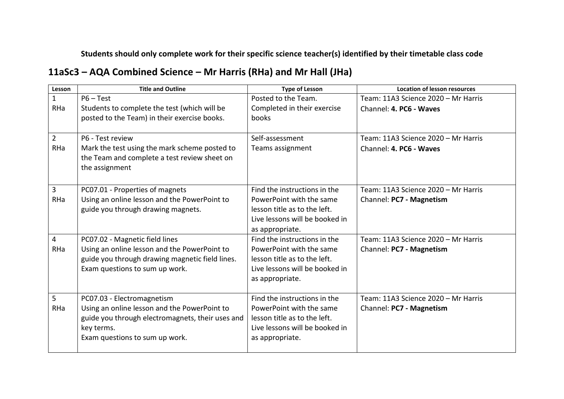## **11aSc3 – AQA Combined Science – Mr Harris (RHa) and Mr Hall (JHa)**

| Lesson         | <b>Title and Outline</b>                         | <b>Type of Lesson</b>          | <b>Location of lesson resources</b> |
|----------------|--------------------------------------------------|--------------------------------|-------------------------------------|
| $\mathbf{1}$   | $P6 - Test$                                      | Posted to the Team.            | Team: 11A3 Science 2020 - Mr Harris |
| RHa            | Students to complete the test (which will be     | Completed in their exercise    | Channel: 4. PC6 - Waves             |
|                | posted to the Team) in their exercise books.     | books                          |                                     |
|                |                                                  |                                |                                     |
| $\overline{2}$ | P6 - Test review                                 | Self-assessment                | Team: 11A3 Science 2020 - Mr Harris |
| RHa            | Mark the test using the mark scheme posted to    | Teams assignment               | Channel: 4. PC6 - Waves             |
|                | the Team and complete a test review sheet on     |                                |                                     |
|                | the assignment                                   |                                |                                     |
|                |                                                  |                                |                                     |
| 3              | PC07.01 - Properties of magnets                  | Find the instructions in the   | Team: 11A3 Science 2020 - Mr Harris |
| RHa            | Using an online lesson and the PowerPoint to     | PowerPoint with the same       | Channel: PC7 - Magnetism            |
|                | guide you through drawing magnets.               | lesson title as to the left.   |                                     |
|                |                                                  | Live lessons will be booked in |                                     |
|                |                                                  | as appropriate.                |                                     |
| 4              | PC07.02 - Magnetic field lines                   | Find the instructions in the   | Team: 11A3 Science 2020 - Mr Harris |
| RHa            | Using an online lesson and the PowerPoint to     | PowerPoint with the same       | Channel: PC7 - Magnetism            |
|                | guide you through drawing magnetic field lines.  | lesson title as to the left.   |                                     |
|                | Exam questions to sum up work.                   | Live lessons will be booked in |                                     |
|                |                                                  | as appropriate.                |                                     |
|                |                                                  |                                |                                     |
| 5              | PC07.03 - Electromagnetism                       | Find the instructions in the   | Team: 11A3 Science 2020 - Mr Harris |
| RHa            | Using an online lesson and the PowerPoint to     | PowerPoint with the same       | Channel: PC7 - Magnetism            |
|                | guide you through electromagnets, their uses and | lesson title as to the left.   |                                     |
|                | key terms.                                       | Live lessons will be booked in |                                     |
|                | Exam questions to sum up work.                   | as appropriate.                |                                     |
|                |                                                  |                                |                                     |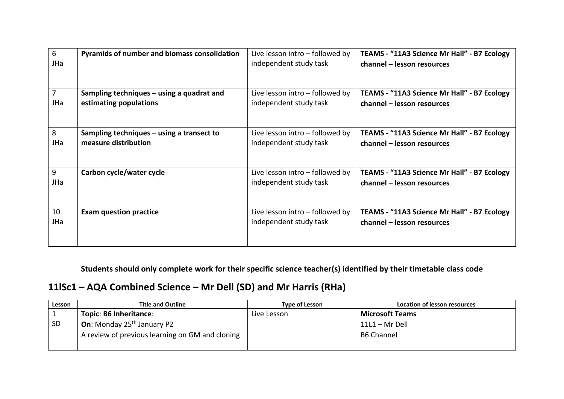| 6              | Pyramids of number and biomass consolidation | Live lesson intro – followed by   | TEAMS - "11A3 Science Mr Hall" - B7 Ecology |
|----------------|----------------------------------------------|-----------------------------------|---------------------------------------------|
| JHa            |                                              | independent study task            | channel - lesson resources                  |
| $\overline{7}$ | Sampling techniques – using a quadrat and    | Live lesson intro – followed by   | TEAMS - "11A3 Science Mr Hall" - B7 Ecology |
| JHa            | estimating populations                       | independent study task            | channel – lesson resources                  |
| 8              | Sampling techniques – using a transect to    | Live lesson intro – followed by   | TEAMS - "11A3 Science Mr Hall" - B7 Ecology |
| JHa            | measure distribution                         | independent study task            | channel - lesson resources                  |
| 9              | Carbon cycle/water cycle                     | Live lesson intro $-$ followed by | TEAMS - "11A3 Science Mr Hall" - B7 Ecology |
| JHa            |                                              | independent study task            | channel - lesson resources                  |
| 10             | <b>Exam question practice</b>                | Live lesson intro – followed by   | TEAMS - "11A3 Science Mr Hall" - B7 Ecology |
| JHa            |                                              | independent study task            | channel - lesson resources                  |

### **11lSc1 – AQA Combined Science – Mr Dell (SD) and Mr Harris (RHa)**

| Lesson    | <b>Title and Outline</b>                        | <b>Type of Lesson</b> | Location of lesson resources |
|-----------|-------------------------------------------------|-----------------------|------------------------------|
|           | Topic: B6 Inheritance:                          | Live Lesson           | <b>Microsoft Teams</b>       |
| <b>SD</b> | <b>On:</b> Monday $25th$ January P2             |                       | $11L1 - Mr$ Dell             |
|           | A review of previous learning on GM and cloning |                       | <b>B6 Channel</b>            |
|           |                                                 |                       |                              |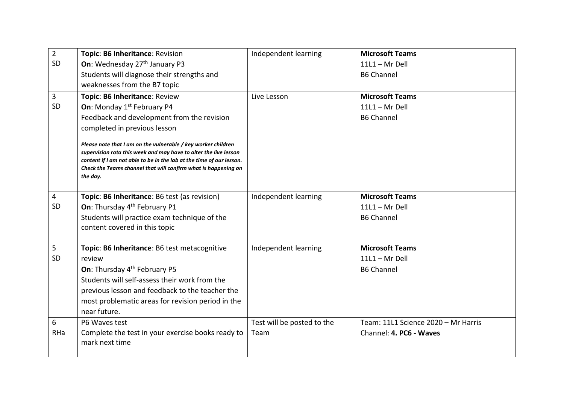| $\overline{2}$ | Topic: B6 Inheritance: Revision                                                                                                                                                                                                                                                         | Independent learning       | <b>Microsoft Teams</b>              |
|----------------|-----------------------------------------------------------------------------------------------------------------------------------------------------------------------------------------------------------------------------------------------------------------------------------------|----------------------------|-------------------------------------|
| SD             | On: Wednesday 27 <sup>th</sup> January P3                                                                                                                                                                                                                                               |                            | $11L1 - Mr$ Dell                    |
|                | Students will diagnose their strengths and                                                                                                                                                                                                                                              |                            | <b>B6 Channel</b>                   |
|                | weaknesses from the B7 topic                                                                                                                                                                                                                                                            |                            |                                     |
| $\overline{3}$ | Topic: B6 Inheritance: Review                                                                                                                                                                                                                                                           | Live Lesson                | <b>Microsoft Teams</b>              |
| SD             | <b>On:</b> Monday 1 <sup>st</sup> February P4                                                                                                                                                                                                                                           |                            | $11L1 - Mr$ Dell                    |
|                | Feedback and development from the revision                                                                                                                                                                                                                                              |                            | <b>B6 Channel</b>                   |
|                | completed in previous lesson                                                                                                                                                                                                                                                            |                            |                                     |
|                | Please note that I am on the vulnerable / key worker children<br>supervision rota this week and may have to alter the live lesson<br>content if I am not able to be in the lab at the time of our lesson.<br>Check the Teams channel that will confirm what is happening on<br>the day. |                            |                                     |
| $\overline{4}$ | Topic: B6 Inheritance: B6 test (as revision)                                                                                                                                                                                                                                            | Independent learning       | <b>Microsoft Teams</b>              |
| SD             | On: Thursday 4 <sup>th</sup> February P1                                                                                                                                                                                                                                                |                            | $11L1 - Mr$ Dell                    |
|                | Students will practice exam technique of the                                                                                                                                                                                                                                            |                            | <b>B6 Channel</b>                   |
|                | content covered in this topic                                                                                                                                                                                                                                                           |                            |                                     |
| 5              | Topic: B6 Inheritance: B6 test metacognitive                                                                                                                                                                                                                                            | Independent learning       | <b>Microsoft Teams</b>              |
| SD             | review                                                                                                                                                                                                                                                                                  |                            | $11L1 - Mr$ Dell                    |
|                | On: Thursday 4 <sup>th</sup> February P5                                                                                                                                                                                                                                                |                            | <b>B6 Channel</b>                   |
|                | Students will self-assess their work from the                                                                                                                                                                                                                                           |                            |                                     |
|                | previous lesson and feedback to the teacher the                                                                                                                                                                                                                                         |                            |                                     |
|                | most problematic areas for revision period in the                                                                                                                                                                                                                                       |                            |                                     |
|                | near future.                                                                                                                                                                                                                                                                            |                            |                                     |
| 6              | P6 Waves test                                                                                                                                                                                                                                                                           | Test will be posted to the | Team: 11L1 Science 2020 - Mr Harris |
| RHa            | Complete the test in your exercise books ready to<br>mark next time                                                                                                                                                                                                                     | Team                       | Channel: 4. PC6 - Waves             |
|                |                                                                                                                                                                                                                                                                                         |                            |                                     |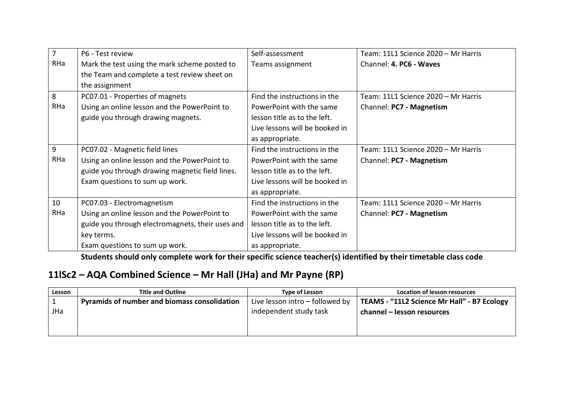| $\overline{7}$ | P6 - Test review                                 | Self-assessment                | Team: 11L1 Science 2020 - Mr Harris |
|----------------|--------------------------------------------------|--------------------------------|-------------------------------------|
| RHa            | Mark the test using the mark scheme posted to    | Teams assignment               | Channel: 4. PC6 - Waves             |
|                | the Team and complete a test review sheet on     |                                |                                     |
|                | the assignment                                   |                                |                                     |
| 8              | PC07.01 - Properties of magnets                  | Find the instructions in the   | Team: 11L1 Science 2020 - Mr Harris |
| RHa            | Using an online lesson and the PowerPoint to     | PowerPoint with the same       | Channel: PC7 - Magnetism            |
|                | guide you through drawing magnets.               | lesson title as to the left.   |                                     |
|                |                                                  | Live lessons will be booked in |                                     |
|                |                                                  | as appropriate.                |                                     |
| 9              | PC07.02 - Magnetic field lines                   | Find the instructions in the   | Team: 11L1 Science 2020 - Mr Harris |
| RHa            | Using an online lesson and the PowerPoint to     | PowerPoint with the same       | Channel: PC7 - Magnetism            |
|                | guide you through drawing magnetic field lines.  | lesson title as to the left.   |                                     |
|                | Exam questions to sum up work.                   | Live lessons will be booked in |                                     |
|                |                                                  | as appropriate.                |                                     |
| 10             | PC07.03 - Electromagnetism                       | Find the instructions in the   | Team: 11L1 Science 2020 - Mr Harris |
| RHa            | Using an online lesson and the PowerPoint to     | PowerPoint with the same       | Channel: PC7 - Magnetism            |
|                | guide you through electromagnets, their uses and | lesson title as to the left.   |                                     |
|                | key terms.                                       | Live lessons will be booked in |                                     |
|                | Exam questions to sum up work.                   | as appropriate.                |                                     |

## **11lSc2 – AQA Combined Science – Mr Hall (JHa) and Mr Payne (RP)**

| Lesson | <b>Title and Outline</b>                            | Type of Lesson                  | Location of lesson resources                |
|--------|-----------------------------------------------------|---------------------------------|---------------------------------------------|
|        | <b>Pyramids of number and biomass consolidation</b> | Live lesson intro - followed by | TEAMS - "11L2 Science Mr Hall" - B7 Ecology |
| JHa    |                                                     | independent study task          | channel – lesson resources                  |
|        |                                                     |                                 |                                             |
|        |                                                     |                                 |                                             |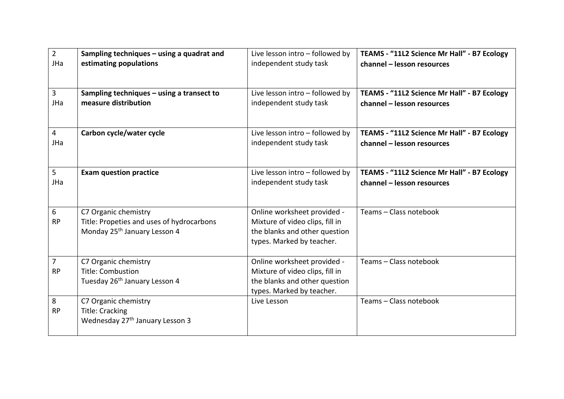| $\overline{2}$              | Sampling techniques - using a quadrat and                                                                     | Live lesson intro - followed by                                                                                              | TEAMS - "11L2 Science Mr Hall" - B7 Ecology |
|-----------------------------|---------------------------------------------------------------------------------------------------------------|------------------------------------------------------------------------------------------------------------------------------|---------------------------------------------|
| JHa                         | estimating populations                                                                                        | independent study task                                                                                                       | channel - lesson resources                  |
| $\overline{3}$              | Sampling techniques - using a transect to                                                                     | Live lesson intro - followed by                                                                                              | TEAMS - "11L2 Science Mr Hall" - B7 Ecology |
| JHa                         | measure distribution                                                                                          | independent study task                                                                                                       | channel - lesson resources                  |
| $\overline{4}$              | Carbon cycle/water cycle                                                                                      | Live lesson intro - followed by                                                                                              | TEAMS - "11L2 Science Mr Hall" - B7 Ecology |
| JHa                         |                                                                                                               | independent study task                                                                                                       | channel - lesson resources                  |
| 5                           | <b>Exam question practice</b>                                                                                 | Live lesson intro - followed by                                                                                              | TEAMS - "11L2 Science Mr Hall" - B7 Ecology |
| JHa                         |                                                                                                               | independent study task                                                                                                       | channel - lesson resources                  |
| 6<br><b>RP</b>              | C7 Organic chemistry<br>Title: Propeties and uses of hydrocarbons<br>Monday 25 <sup>th</sup> January Lesson 4 | Online worksheet provided -<br>Mixture of video clips, fill in<br>the blanks and other question<br>types. Marked by teacher. | Teams - Class notebook                      |
| $\overline{7}$<br><b>RP</b> | C7 Organic chemistry<br><b>Title: Combustion</b><br>Tuesday 26 <sup>th</sup> January Lesson 4                 | Online worksheet provided -<br>Mixture of video clips, fill in<br>the blanks and other question<br>types. Marked by teacher. | Teams - Class notebook                      |
| 8<br><b>RP</b>              | C7 Organic chemistry<br><b>Title: Cracking</b><br>Wednesday 27 <sup>th</sup> January Lesson 3                 | Live Lesson                                                                                                                  | Teams - Class notebook                      |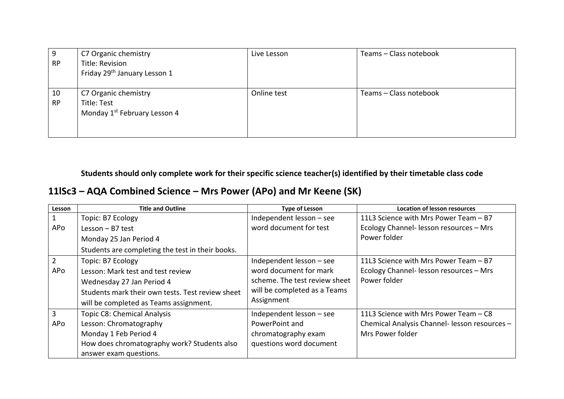| 9         | C7 Organic chemistry                     | Live Lesson | Teams - Class notebook |
|-----------|------------------------------------------|-------------|------------------------|
| <b>RP</b> | Title: Revision                          |             |                        |
|           | Friday 29 <sup>th</sup> January Lesson 1 |             |                        |
|           |                                          |             |                        |
| 10        | C7 Organic chemistry                     | Online test | Teams - Class notebook |
| <b>RP</b> | Title: Test                              |             |                        |
|           | Monday 1 <sup>st</sup> February Lesson 4 |             |                        |
|           |                                          |             |                        |
|           |                                          |             |                        |

**11lSc3 – AQA Combined Science – Mrs Power (APo) and Mr Keene (SK)**

| Lesson         | <b>Title and Outline</b>                         | <b>Type of Lesson</b>         | <b>Location of lesson resources</b>           |
|----------------|--------------------------------------------------|-------------------------------|-----------------------------------------------|
| 1              | Topic: B7 Ecology                                | Independent lesson - see      | 11L3 Science with Mrs Power Team - B7         |
| APo            | Lesson $-$ B7 test                               | word document for test        | Ecology Channel- lesson resources - Mrs       |
|                | Monday 25 Jan Period 4                           |                               | Power folder                                  |
|                | Students are completing the test in their books. |                               |                                               |
| $\overline{2}$ | Topic: B7 Ecology                                | Independent lesson - see      | 11L3 Science with Mrs Power Team - B7         |
| APo            | Lesson: Mark test and test review                | word document for mark        | Ecology Channel- lesson resources - Mrs       |
|                | Wednesday 27 Jan Period 4                        | scheme. The test review sheet | Power folder                                  |
|                | Students mark their own tests. Test review sheet | will be completed as a Teams  |                                               |
|                | will be completed as Teams assignment.           | Assignment                    |                                               |
| $\overline{3}$ | <b>Topic C8: Chemical Analysis</b>               | Independent lesson - see      | 11L3 Science with Mrs Power Team - C8         |
| APo            | Lesson: Chromatography                           | PowerPoint and                | Chemical Analysis Channel- lesson resources - |
|                | Monday 1 Feb Period 4                            | chromatography exam           | Mrs Power folder                              |
|                | How does chromatography work? Students also      | questions word document       |                                               |
|                | answer exam questions.                           |                               |                                               |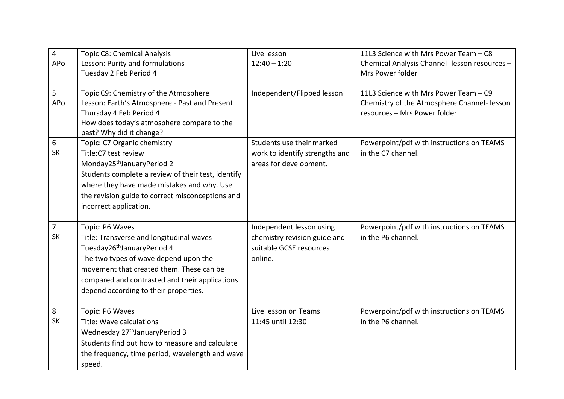| $\overline{\mathbf{4}}$ | Topic C8: Chemical Analysis                        | Live lesson                    | 11L3 Science with Mrs Power Team - C8         |
|-------------------------|----------------------------------------------------|--------------------------------|-----------------------------------------------|
| APo                     | Lesson: Purity and formulations                    | $12:40 - 1:20$                 | Chemical Analysis Channel- lesson resources - |
|                         | Tuesday 2 Feb Period 4                             |                                | Mrs Power folder                              |
|                         |                                                    |                                |                                               |
| 5                       | Topic C9: Chemistry of the Atmosphere              | Independent/Flipped lesson     | 11L3 Science with Mrs Power Team - C9         |
| APo                     | Lesson: Earth's Atmosphere - Past and Present      |                                | Chemistry of the Atmosphere Channel- lesson   |
|                         | Thursday 4 Feb Period 4                            |                                | resources - Mrs Power folder                  |
|                         | How does today's atmosphere compare to the         |                                |                                               |
|                         | past? Why did it change?                           |                                |                                               |
| 6                       | Topic: C7 Organic chemistry                        | Students use their marked      | Powerpoint/pdf with instructions on TEAMS     |
| SK                      | Title:C7 test review                               | work to identify strengths and | in the C7 channel.                            |
|                         | Monday25 <sup>th</sup> JanuaryPeriod 2             | areas for development.         |                                               |
|                         | Students complete a review of their test, identify |                                |                                               |
|                         | where they have made mistakes and why. Use         |                                |                                               |
|                         | the revision guide to correct misconceptions and   |                                |                                               |
|                         | incorrect application.                             |                                |                                               |
|                         |                                                    |                                |                                               |
| $\overline{7}$          | Topic: P6 Waves                                    | Independent lesson using       | Powerpoint/pdf with instructions on TEAMS     |
| <b>SK</b>               | Title: Transverse and longitudinal waves           | chemistry revision guide and   | in the P6 channel.                            |
|                         | Tuesday26 <sup>th</sup> JanuaryPeriod 4            | suitable GCSE resources        |                                               |
|                         | The two types of wave depend upon the              | online.                        |                                               |
|                         | movement that created them. These can be           |                                |                                               |
|                         | compared and contrasted and their applications     |                                |                                               |
|                         | depend according to their properties.              |                                |                                               |
|                         |                                                    |                                |                                               |
| 8                       | Topic: P6 Waves                                    | Live lesson on Teams           | Powerpoint/pdf with instructions on TEAMS     |
| <b>SK</b>               | Title: Wave calculations                           | 11:45 until 12:30              | in the P6 channel.                            |
|                         | Wednesday 27 <sup>th</sup> JanuaryPeriod 3         |                                |                                               |
|                         | Students find out how to measure and calculate     |                                |                                               |
|                         | the frequency, time period, wavelength and wave    |                                |                                               |
|                         | speed.                                             |                                |                                               |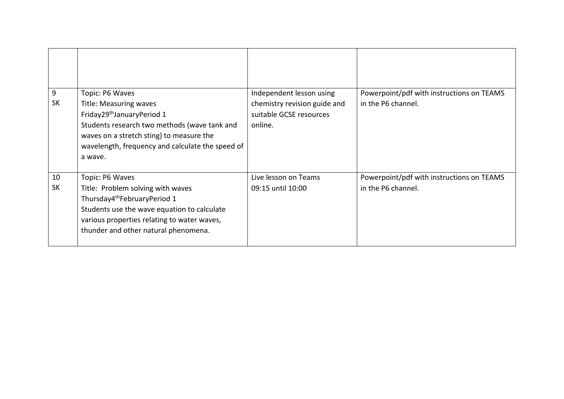| 9<br><b>SK</b>  | Topic: P6 Waves<br><b>Title: Measuring waves</b><br>Friday29 <sup>th</sup> JanuaryPeriod 1<br>Students research two methods (wave tank and<br>waves on a stretch sting) to measure the<br>wavelength, frequency and calculate the speed of<br>a wave. | Independent lesson using<br>chemistry revision guide and<br>suitable GCSE resources<br>online. | Powerpoint/pdf with instructions on TEAMS<br>in the P6 channel. |
|-----------------|-------------------------------------------------------------------------------------------------------------------------------------------------------------------------------------------------------------------------------------------------------|------------------------------------------------------------------------------------------------|-----------------------------------------------------------------|
| 10<br><b>SK</b> | Topic: P6 Waves<br>Title: Problem solving with waves<br>Thursday4 <sup>th</sup> FebruaryPeriod 1<br>Students use the wave equation to calculate<br>various properties relating to water waves,<br>thunder and other natural phenomena.                | Live lesson on Teams<br>09:15 until 10:00                                                      | Powerpoint/pdf with instructions on TEAMS<br>in the P6 channel. |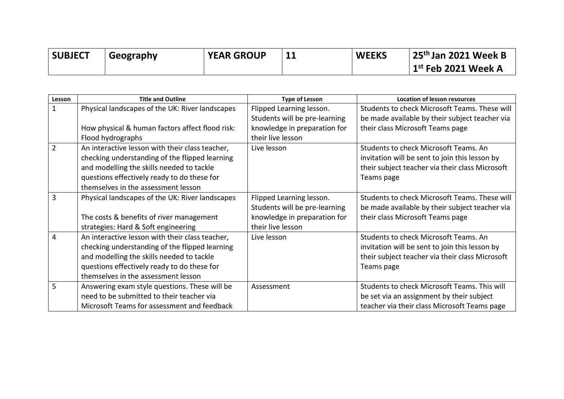| <b>SUBJECT</b> | Geography | <b>YEAR GROUP</b> | <b>WEEKS</b> | $\,$ 25 <sup>th</sup> Jan 2021 Week B            |
|----------------|-----------|-------------------|--------------|--------------------------------------------------|
|                |           |                   |              | $^\mathrm{ }$ 1 $\mathrm{^{st}}$ Feb 2021 Week A |

| Lesson        | <b>Title and Outline</b>                        | <b>Type of Lesson</b>         | <b>Location of lesson resources</b>             |
|---------------|-------------------------------------------------|-------------------------------|-------------------------------------------------|
| 1             | Physical landscapes of the UK: River landscapes | Flipped Learning lesson.      | Students to check Microsoft Teams. These will   |
|               |                                                 | Students will be pre-learning | be made available by their subject teacher via  |
|               | How physical & human factors affect flood risk: | knowledge in preparation for  | their class Microsoft Teams page                |
|               | Flood hydrographs                               | their live lesson             |                                                 |
| $\mathcal{P}$ | An interactive lesson with their class teacher, | Live lesson                   | Students to check Microsoft Teams. An           |
|               | checking understanding of the flipped learning  |                               | invitation will be sent to join this lesson by  |
|               | and modelling the skills needed to tackle       |                               | their subject teacher via their class Microsoft |
|               | questions effectively ready to do these for     |                               | Teams page                                      |
|               | themselves in the assessment lesson             |                               |                                                 |
| 3             | Physical landscapes of the UK: River landscapes | Flipped Learning lesson.      | Students to check Microsoft Teams. These will   |
|               |                                                 | Students will be pre-learning | be made available by their subject teacher via  |
|               | The costs & benefits of river management        | knowledge in preparation for  | their class Microsoft Teams page                |
|               | strategies: Hard & Soft engineering             | their live lesson             |                                                 |
| 4             | An interactive lesson with their class teacher, | Live lesson                   | Students to check Microsoft Teams. An           |
|               | checking understanding of the flipped learning  |                               | invitation will be sent to join this lesson by  |
|               | and modelling the skills needed to tackle       |                               | their subject teacher via their class Microsoft |
|               | questions effectively ready to do these for     |                               | Teams page                                      |
|               | themselves in the assessment lesson             |                               |                                                 |
| 5             | Answering exam style questions. These will be   | Assessment                    | Students to check Microsoft Teams. This will    |
|               | need to be submitted to their teacher via       |                               | be set via an assignment by their subject       |
|               | Microsoft Teams for assessment and feedback     |                               | teacher via their class Microsoft Teams page    |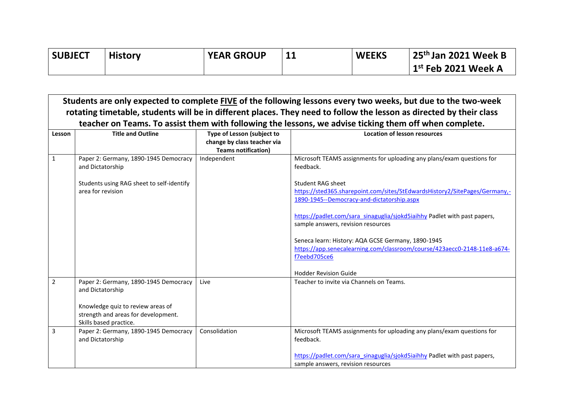| <b>SUBJECT</b> | <b>History</b> | <b>YEAR GROUP</b> | <b>WEEKS</b> | $\frac{1}{2}$ 25 <sup>th</sup> Jan 2021 Week B |
|----------------|----------------|-------------------|--------------|------------------------------------------------|
|                |                |                   |              | $\vert$ 1 $^{\rm st}$ Feb 2021 Week A          |

|                | Students are only expected to complete FIVE of the following lessons every two weeks, but due to the two-week<br>rotating timetable, students will be in different places. They need to follow the lesson as directed by their class |                                                                                         |                                                                                                                                                      |  |  |
|----------------|--------------------------------------------------------------------------------------------------------------------------------------------------------------------------------------------------------------------------------------|-----------------------------------------------------------------------------------------|------------------------------------------------------------------------------------------------------------------------------------------------------|--|--|
|                |                                                                                                                                                                                                                                      |                                                                                         | teacher on Teams. To assist them with following the lessons, we advise ticking them off when complete.                                               |  |  |
| Lesson         | <b>Title and Outline</b>                                                                                                                                                                                                             | Type of Lesson (subject to<br>change by class teacher via<br><b>Teams notification)</b> | <b>Location of lesson resources</b>                                                                                                                  |  |  |
| $\mathbf{1}$   | Paper 2: Germany, 1890-1945 Democracy<br>and Dictatorship                                                                                                                                                                            | Independent                                                                             | Microsoft TEAMS assignments for uploading any plans/exam questions for<br>feedback.                                                                  |  |  |
|                | Students using RAG sheet to self-identify<br>area for revision                                                                                                                                                                       |                                                                                         | <b>Student RAG sheet</b><br>https://sted365.sharepoint.com/sites/StEdwardsHistory2/SitePages/Germany,-<br>1890-1945--Democracy-and-dictatorship.aspx |  |  |
|                |                                                                                                                                                                                                                                      |                                                                                         | https://padlet.com/sara_sinaguglia/sjokd5iaihhy Padlet with past papers,<br>sample answers, revision resources                                       |  |  |
|                |                                                                                                                                                                                                                                      |                                                                                         | Seneca learn: History: AQA GCSE Germany, 1890-1945<br>https://app.senecalearning.com/classroom/course/423aecc0-2148-11e8-a674-<br>f7eebd705ce6       |  |  |
| $\overline{2}$ | Paper 2: Germany, 1890-1945 Democracy                                                                                                                                                                                                | Live                                                                                    | <b>Hodder Revision Guide</b><br>Teacher to invite via Channels on Teams.                                                                             |  |  |
|                | and Dictatorship<br>Knowledge quiz to review areas of<br>strength and areas for development.<br>Skills based practice.                                                                                                               |                                                                                         |                                                                                                                                                      |  |  |
| 3              | Paper 2: Germany, 1890-1945 Democracy<br>and Dictatorship                                                                                                                                                                            | Consolidation                                                                           | Microsoft TEAMS assignments for uploading any plans/exam questions for<br>feedback.                                                                  |  |  |
|                |                                                                                                                                                                                                                                      |                                                                                         | https://padlet.com/sara_sinaguglia/sjokd5iaihhy Padlet with past papers,<br>sample answers, revision resources                                       |  |  |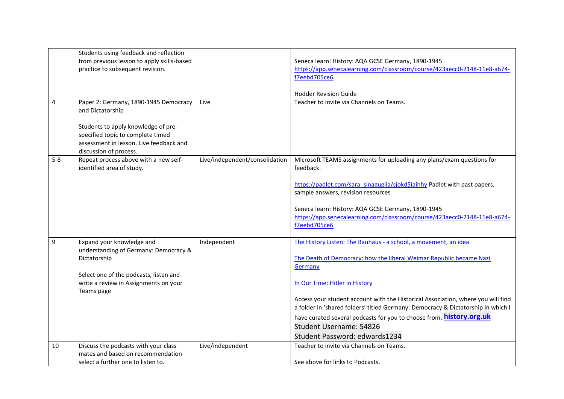|                | Students using feedback and reflection                                                                                                        |                                |                                                                                                                |
|----------------|-----------------------------------------------------------------------------------------------------------------------------------------------|--------------------------------|----------------------------------------------------------------------------------------------------------------|
|                | from previous lesson to apply skills-based                                                                                                    |                                | Seneca learn: History: AQA GCSE Germany, 1890-1945                                                             |
|                | practice to subsequent revision.                                                                                                              |                                | https://app.senecalearning.com/classroom/course/423aecc0-2148-11e8-a674-                                       |
|                |                                                                                                                                               |                                | f7eebd705ce6                                                                                                   |
|                |                                                                                                                                               |                                |                                                                                                                |
|                |                                                                                                                                               |                                | <b>Hodder Revision Guide</b>                                                                                   |
| $\overline{4}$ | Paper 2: Germany, 1890-1945 Democracy<br>and Dictatorship                                                                                     | Live                           | Teacher to invite via Channels on Teams.                                                                       |
|                | Students to apply knowledge of pre-<br>specified topic to complete timed<br>assessment in lesson. Live feedback and<br>discussion of process. |                                |                                                                                                                |
| $5-8$          | Repeat process above with a new self-<br>identified area of study.                                                                            | Live/independent/consolidation | Microsoft TEAMS assignments for uploading any plans/exam questions for<br>feedback.                            |
|                |                                                                                                                                               |                                | https://padlet.com/sara_sinaguglia/sjokd5iaihhy Padlet with past papers,<br>sample answers, revision resources |
|                |                                                                                                                                               |                                | Seneca learn: History: AQA GCSE Germany, 1890-1945                                                             |
|                |                                                                                                                                               |                                | https://app.senecalearning.com/classroom/course/423aecc0-2148-11e8-a674-                                       |
|                |                                                                                                                                               |                                | f7eebd705ce6                                                                                                   |
| 9              | Expand your knowledge and                                                                                                                     | Independent                    | The History Listen: The Bauhaus - a school, a movement, an idea                                                |
|                | understanding of Germany: Democracy &                                                                                                         |                                |                                                                                                                |
|                | Dictatorship                                                                                                                                  |                                | The Death of Democracy: how the liberal Weimar Republic became Nazi                                            |
|                |                                                                                                                                               |                                | Germany                                                                                                        |
|                | Select one of the podcasts, listen and<br>write a review in Assignments on your                                                               |                                | In Our Time: Hitler in History                                                                                 |
|                | Teams page                                                                                                                                    |                                |                                                                                                                |
|                |                                                                                                                                               |                                | Access your student account with the Historical Association, where you will find                               |
|                |                                                                                                                                               |                                | a folder in 'shared folders' titled Germany: Democracy & Dictatorship in which I                               |
|                |                                                                                                                                               |                                | have curated several podcasts for you to choose from: <b>history.org.uk</b>                                    |
|                |                                                                                                                                               |                                | Student Username: 54826                                                                                        |
|                |                                                                                                                                               |                                | Student Password: edwards1234                                                                                  |
| 10             | Discuss the podcasts with your class                                                                                                          | Live/independent               | Teacher to invite via Channels on Teams.                                                                       |
|                | mates and based on recommendation                                                                                                             |                                |                                                                                                                |
|                | select a further one to listen to.                                                                                                            |                                | See above for links to Podcasts.                                                                               |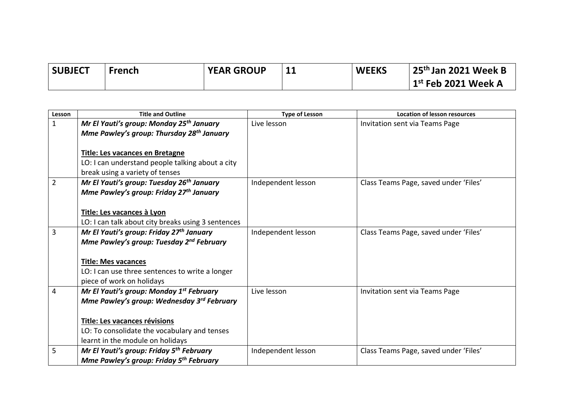| <b>SUBJECT</b> | French | <b>YEAR GROUP</b> | <b>WEEKS</b> | 25 <sup>th</sup> Jan 2021 Week B |
|----------------|--------|-------------------|--------------|----------------------------------|
|                |        |                   |              | $1st$ Feb 2021 Week A            |

| Lesson | <b>Title and Outline</b>                               | <b>Type of Lesson</b> | <b>Location of lesson resources</b>   |
|--------|--------------------------------------------------------|-----------------------|---------------------------------------|
| 1      | Mr El Yauti's group: Monday 25 <sup>th</sup> January   | Live lesson           | Invitation sent via Teams Page        |
|        | Mme Pawley's group: Thursday 28 <sup>th</sup> January  |                       |                                       |
|        |                                                        |                       |                                       |
|        | Title: Les vacances en Bretagne                        |                       |                                       |
|        | LO: I can understand people talking about a city       |                       |                                       |
|        | break using a variety of tenses                        |                       |                                       |
| 2      | Mr El Yauti's group: Tuesday 26 <sup>th</sup> January  | Independent lesson    | Class Teams Page, saved under 'Files' |
|        | Mme Pawley's group: Friday 27 <sup>th</sup> January    |                       |                                       |
|        |                                                        |                       |                                       |
|        | Title: Les vacances à Lyon                             |                       |                                       |
|        | LO: I can talk about city breaks using 3 sentences     |                       |                                       |
| 3      | Mr El Yauti's group: Friday 27 <sup>th</sup> January   | Independent lesson    | Class Teams Page, saved under 'Files' |
|        | Mme Pawley's group: Tuesday 2 <sup>nd</sup> February   |                       |                                       |
|        |                                                        |                       |                                       |
|        | <b>Title: Mes vacances</b>                             |                       |                                       |
|        | LO: I can use three sentences to write a longer        |                       |                                       |
|        | piece of work on holidays                              |                       |                                       |
| 4      | Mr El Yauti's group: Monday 1 <sup>st</sup> February   | Live lesson           | Invitation sent via Teams Page        |
|        | Mme Pawley's group: Wednesday 3 <sup>rd</sup> February |                       |                                       |
|        |                                                        |                       |                                       |
|        | Title: Les vacances révisions                          |                       |                                       |
|        | LO: To consolidate the vocabulary and tenses           |                       |                                       |
|        | learnt in the module on holidays                       |                       |                                       |
| 5      | Mr El Yauti's group: Friday 5 <sup>th</sup> February   | Independent lesson    | Class Teams Page, saved under 'Files' |
|        | Mme Pawley's group: Friday 5 <sup>th</sup> February    |                       |                                       |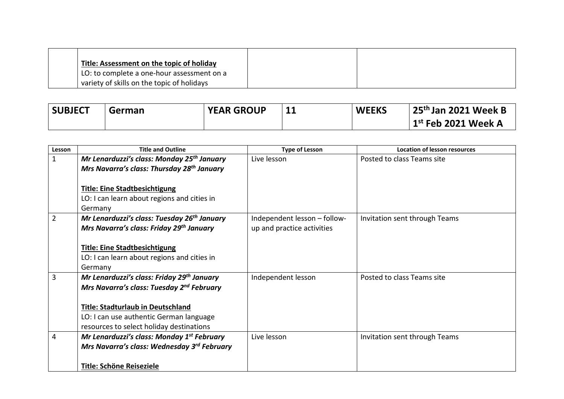| Title: Assessment on the topic of holiday  |  |
|--------------------------------------------|--|
| LO: to complete a one-hour assessment on a |  |
| variety of skills on the topic of holidays |  |

| <b>SUBJECT</b> | German | <b>YEAR GROUP</b> | <b>WEEKS</b> | $25th$ Jan 2021 Week B |
|----------------|--------|-------------------|--------------|------------------------|
|                |        |                   |              | $1st$ Feb 2021 Week A  |

| Lesson         | <b>Title and Outline</b>                                | <b>Type of Lesson</b>        | <b>Location of lesson resources</b> |
|----------------|---------------------------------------------------------|------------------------------|-------------------------------------|
| $\mathbf{1}$   | Mr Lenarduzzi's class: Monday 25 <sup>th</sup> January  | Live lesson                  | Posted to class Teams site          |
|                | Mrs Navarra's class: Thursday 28 <sup>th</sup> January  |                              |                                     |
|                |                                                         |                              |                                     |
|                | <b>Title: Eine Stadtbesichtigung</b>                    |                              |                                     |
|                | LO: I can learn about regions and cities in             |                              |                                     |
|                | Germany                                                 |                              |                                     |
| $\overline{2}$ | Mr Lenarduzzi's class: Tuesday 26 <sup>th</sup> January | Independent lesson - follow- | Invitation sent through Teams       |
|                | Mrs Navarra's class: Friday 29 <sup>th</sup> January    | up and practice activities   |                                     |
|                |                                                         |                              |                                     |
|                | <b>Title: Eine Stadtbesichtigung</b>                    |                              |                                     |
|                | LO: I can learn about regions and cities in             |                              |                                     |
|                | Germany                                                 |                              |                                     |
| 3              | Mr Lenarduzzi's class: Friday 29th January              | Independent lesson           | Posted to class Teams site          |
|                | Mrs Navarra's class: Tuesday 2 <sup>nd</sup> February   |                              |                                     |
|                |                                                         |                              |                                     |
|                | Title: Stadturlaub in Deutschland                       |                              |                                     |
|                | LO: I can use authentic German language                 |                              |                                     |
|                | resources to select holiday destinations                |                              |                                     |
| 4              | Mr Lenarduzzi's class: Monday 1st February              | Live lesson                  | Invitation sent through Teams       |
|                | Mrs Navarra's class: Wednesday 3rd February             |                              |                                     |
|                |                                                         |                              |                                     |
|                | <b>Title: Schöne Reiseziele</b>                         |                              |                                     |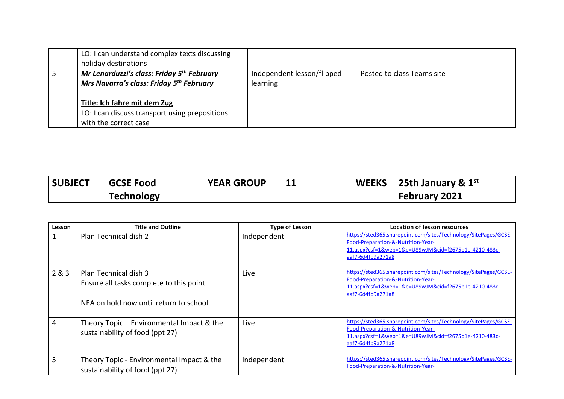| LO: I can understand complex texts discussing<br>holiday destinations                                          |                                        |                            |
|----------------------------------------------------------------------------------------------------------------|----------------------------------------|----------------------------|
| Mr Lenarduzzi's class: Friday 5 <sup>th</sup> February<br>Mrs Navarra's class: Friday 5 <sup>th</sup> February | Independent lesson/flipped<br>learning | Posted to class Teams site |
| Title: Ich fahre mit dem Zug<br>LO: I can discuss transport using prepositions<br>with the correct case        |                                        |                            |

| <b>SUBJECT</b> | <b>GCSE Food</b>  | <b>YEAR GROUP</b> | <b>11</b> | <b>WEEKS</b> 25th January & $1^{st}$ |
|----------------|-------------------|-------------------|-----------|--------------------------------------|
|                | <b>Technology</b> |                   |           | February 2021                        |

| Lesson | <b>Title and Outline</b>                                                                                   | <b>Type of Lesson</b> | <b>Location of lesson resources</b>                                                                                                                                                |
|--------|------------------------------------------------------------------------------------------------------------|-----------------------|------------------------------------------------------------------------------------------------------------------------------------------------------------------------------------|
|        | Plan Technical dish 2                                                                                      | Independent           | https://sted365.sharepoint.com/sites/Technology/SitePages/GCSE-<br>Food-Preparation-&-Nutrition-Year-<br>11.aspx?csf=1&web=1&e=U89wJM&cid=f2675b1e-4210-483c-<br>aaf7-6d4fb9a271a8 |
| 2&8.3  | Plan Technical dish 3<br>Ensure all tasks complete to this point<br>NEA on hold now until return to school | Live                  | https://sted365.sharepoint.com/sites/Technology/SitePages/GCSE-<br>Food-Preparation-&-Nutrition-Year-<br>11.aspx?csf=1&web=1&e=U89wJM&cid=f2675b1e-4210-483c-<br>aaf7-6d4fb9a271a8 |
| 4      | Theory Topic – Environmental Impact & the<br>sustainability of food (ppt 27)                               | Live                  | https://sted365.sharepoint.com/sites/Technology/SitePages/GCSE-<br>Food-Preparation-&-Nutrition-Year-<br>11.aspx?csf=1&web=1&e=U89wJM&cid=f2675b1e-4210-483c-<br>aaf7-6d4fb9a271a8 |
| 5      | Theory Topic - Environmental Impact & the<br>sustainability of food (ppt 27)                               | Independent           | https://sted365.sharepoint.com/sites/Technology/SitePages/GCSE-<br>Food-Preparation-&-Nutrition-Year-                                                                              |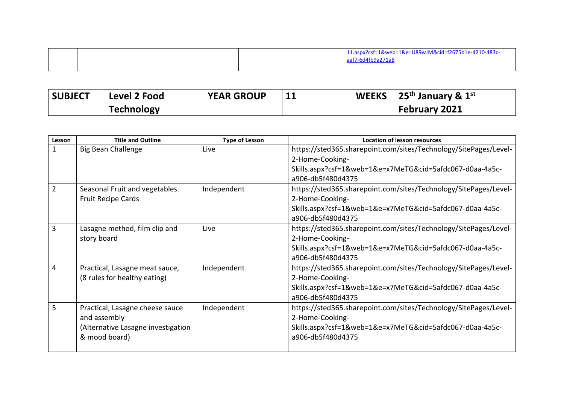|  |  |  | 11.aspx?csf=1&web=1&e=U89wJM&cid=f2675b1e-4210-483c-<br>aaf7-6d4fb9a271a8 |
|--|--|--|---------------------------------------------------------------------------|
|--|--|--|---------------------------------------------------------------------------|

| <b>SUBJECT</b> | Level 2 Food      | <b>YEAR GROUP</b> |  | $\vert$ WEEKS $\vert$ 25 <sup>th</sup> January & 1 <sup>st</sup> |
|----------------|-------------------|-------------------|--|------------------------------------------------------------------|
|                | <b>Technology</b> |                   |  | February 2021                                                    |

| Lesson         | <b>Title and Outline</b>           | <b>Type of Lesson</b> | <b>Location of lesson resources</b>                              |
|----------------|------------------------------------|-----------------------|------------------------------------------------------------------|
| $\mathbf{1}$   | <b>Big Bean Challenge</b>          | Live                  | https://sted365.sharepoint.com/sites/Technology/SitePages/Level- |
|                |                                    |                       | 2-Home-Cooking-                                                  |
|                |                                    |                       | Skills.aspx?csf=1&web=1&e=x7MeTG&cid=5afdc067-d0aa-4a5c-         |
|                |                                    |                       | a906-db5f480d4375                                                |
| $\overline{2}$ | Seasonal Fruit and vegetables.     | Independent           | https://sted365.sharepoint.com/sites/Technology/SitePages/Level- |
|                | <b>Fruit Recipe Cards</b>          |                       | 2-Home-Cooking-                                                  |
|                |                                    |                       | Skills.aspx?csf=1&web=1&e=x7MeTG&cid=5afdc067-d0aa-4a5c-         |
|                |                                    |                       | a906-db5f480d4375                                                |
| 3              | Lasagne method, film clip and      | Live                  | https://sted365.sharepoint.com/sites/Technology/SitePages/Level- |
|                | story board                        |                       | 2-Home-Cooking-                                                  |
|                |                                    |                       | Skills.aspx?csf=1&web=1&e=x7MeTG&cid=5afdc067-d0aa-4a5c-         |
|                |                                    |                       | a906-db5f480d4375                                                |
| 4              | Practical, Lasagne meat sauce,     | Independent           | https://sted365.sharepoint.com/sites/Technology/SitePages/Level- |
|                | (8 rules for healthy eating)       |                       | 2-Home-Cooking-                                                  |
|                |                                    |                       | Skills.aspx?csf=1&web=1&e=x7MeTG&cid=5afdc067-d0aa-4a5c-         |
|                |                                    |                       | a906-db5f480d4375                                                |
| 5              | Practical, Lasagne cheese sauce    | Independent           | https://sted365.sharepoint.com/sites/Technology/SitePages/Level- |
|                | and assembly                       |                       | 2-Home-Cooking-                                                  |
|                | (Alternative Lasagne investigation |                       | Skills.aspx?csf=1&web=1&e=x7MeTG&cid=5afdc067-d0aa-4a5c-         |
|                | & mood board)                      |                       | a906-db5f480d4375                                                |
|                |                                    |                       |                                                                  |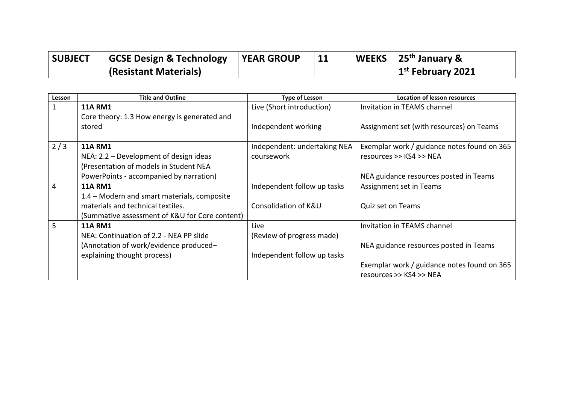| <b>SUBJECT</b> | <b>GCSE Design &amp; Technology</b> | <b>YEAR GROUP</b> | 11 | WEEKS   25 <sup>th</sup> January & |
|----------------|-------------------------------------|-------------------|----|------------------------------------|
|                | (Resistant Materials)               |                   |    | $1st$ February 2021                |

| Lesson | <b>Title and Outline</b>                       | <b>Type of Lesson</b>        | <b>Location of lesson resources</b>         |
|--------|------------------------------------------------|------------------------------|---------------------------------------------|
| 1      | <b>11A RM1</b>                                 | Live (Short introduction)    | Invitation in TEAMS channel                 |
|        | Core theory: 1.3 How energy is generated and   |                              |                                             |
|        | stored                                         | Independent working          | Assignment set (with resources) on Teams    |
|        |                                                |                              |                                             |
| 2/3    | <b>11A RM1</b>                                 | Independent: undertaking NEA | Exemplar work / guidance notes found on 365 |
|        | NEA: $2.2$ – Development of design ideas       | coursework                   | resources >> KS4 >> NEA                     |
|        | (Presentation of models in Student NEA         |                              |                                             |
|        | PowerPoints - accompanied by narration)        |                              | NEA guidance resources posted in Teams      |
| 4      | <b>11A RM1</b>                                 | Independent follow up tasks  | Assignment set in Teams                     |
|        | 1.4 – Modern and smart materials, composite    |                              |                                             |
|        | materials and technical textiles.              | Consolidation of K&U         | Quiz set on Teams                           |
|        | (Summative assessment of K&U for Core content) |                              |                                             |
| 5      | <b>11A RM1</b>                                 | Live                         | Invitation in TEAMS channel                 |
|        | NEA: Continuation of 2.2 - NEA PP slide        | (Review of progress made)    |                                             |
|        | (Annotation of work/evidence produced-         |                              | NEA guidance resources posted in Teams      |
|        | explaining thought process)                    | Independent follow up tasks  |                                             |
|        |                                                |                              | Exemplar work / guidance notes found on 365 |
|        |                                                |                              | resources >> KS4 >> NEA                     |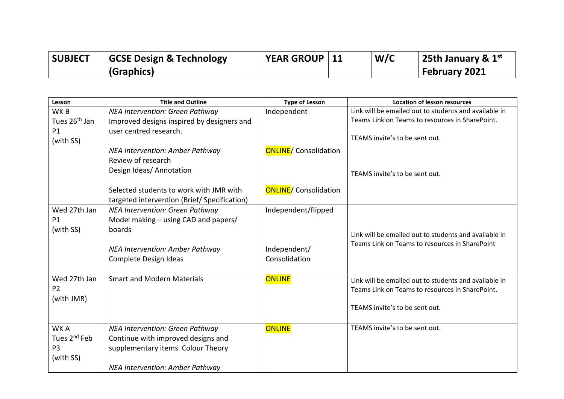| <b>SUBJECT</b> | <b>GCSE Design &amp; Technology</b> | YEAR GROUP   11 | W/C | 25th January & $1st$ |
|----------------|-------------------------------------|-----------------|-----|----------------------|
|                | (Graphics)                          |                 |     | <b>February 2021</b> |

| Lesson                    | <b>Title and Outline</b>                    | <b>Type of Lesson</b>         | <b>Location of lesson resources</b>                   |
|---------------------------|---------------------------------------------|-------------------------------|-------------------------------------------------------|
| WK <sub>B</sub>           | NEA Intervention: Green Pathway             | Independent                   | Link will be emailed out to students and available in |
| Tues 26 <sup>th</sup> Jan | Improved designs inspired by designers and  |                               | Teams Link on Teams to resources in SharePoint.       |
| <b>P1</b>                 | user centred research.                      |                               |                                                       |
| (with SS)                 |                                             |                               | TEAMS invite's to be sent out.                        |
|                           | NEA Intervention: Amber Pathway             | <b>ONLINE</b> / Consolidation |                                                       |
|                           | Review of research                          |                               |                                                       |
|                           | Design Ideas/ Annotation                    |                               | TEAMS invite's to be sent out.                        |
|                           |                                             |                               |                                                       |
|                           | Selected students to work with JMR with     | <b>ONLINE</b> / Consolidation |                                                       |
|                           | targeted intervention (Brief/Specification) |                               |                                                       |
| Wed 27th Jan              | NEA Intervention: Green Pathway             | Independent/flipped           |                                                       |
| P <sub>1</sub>            | Model making – using CAD and papers/        |                               |                                                       |
| (with SS)                 | boards                                      |                               | Link will be emailed out to students and available in |
|                           |                                             |                               | Teams Link on Teams to resources in SharePoint        |
|                           | NEA Intervention: Amber Pathway             | Independent/                  |                                                       |
|                           | Complete Design Ideas                       | Consolidation                 |                                                       |
|                           |                                             |                               |                                                       |
| Wed 27th Jan              | <b>Smart and Modern Materials</b>           | <b>ONLINE</b>                 | Link will be emailed out to students and available in |
| P <sub>2</sub>            |                                             |                               | Teams Link on Teams to resources in SharePoint.       |
| (with JMR)                |                                             |                               |                                                       |
|                           |                                             |                               | TEAMS invite's to be sent out.                        |
|                           |                                             |                               |                                                       |
| WK A                      | NEA Intervention: Green Pathway             | <b>ONLINE</b>                 | TEAMS invite's to be sent out.                        |
| Tues 2 <sup>nd</sup> Feb  | Continue with improved designs and          |                               |                                                       |
| P <sub>3</sub>            | supplementary items. Colour Theory          |                               |                                                       |
| (with SS)                 |                                             |                               |                                                       |
|                           | NEA Intervention: Amber Pathway             |                               |                                                       |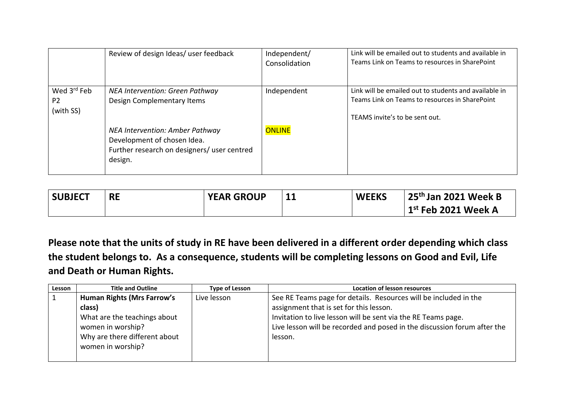|                                                        | Review of design Ideas/ user feedback                                                                                    | Independent/<br>Consolidation | Link will be emailed out to students and available in<br>Teams Link on Teams to resources in SharePoint                                   |
|--------------------------------------------------------|--------------------------------------------------------------------------------------------------------------------------|-------------------------------|-------------------------------------------------------------------------------------------------------------------------------------------|
| Wed 3 <sup>rd</sup> Feb<br>P <sub>2</sub><br>(with SS) | NEA Intervention: Green Pathway<br>Design Complementary Items                                                            | Independent                   | Link will be emailed out to students and available in<br>Teams Link on Teams to resources in SharePoint<br>TEAMS invite's to be sent out. |
|                                                        | NEA Intervention: Amber Pathway<br>Development of chosen Idea.<br>Further research on designers/ user centred<br>design. | ONLINE                        |                                                                                                                                           |

| <b>SUBJECT</b> | <b>RE</b> | <b>YEAR GROUP</b> | 11 | <b>WEEKS</b> | $25th$ Jan 2021 Week B                    |
|----------------|-----------|-------------------|----|--------------|-------------------------------------------|
|                |           |                   |    |              | $^{\prime}$ 1 $^{\rm st}$ Feb 2021 Week A |

**Please note that the units of study in RE have been delivered in a different order depending which class the student belongs to. As a consequence, students will be completing lessons on Good and Evil, Life and Death or Human Rights.**

| Lesson | <b>Title and Outline</b>          | <b>Type of Lesson</b> | <b>Location of lesson resources</b>                                      |
|--------|-----------------------------------|-----------------------|--------------------------------------------------------------------------|
|        | <b>Human Rights (Mrs Farrow's</b> | Live lesson           | See RE Teams page for details. Resources will be included in the         |
|        | class)                            |                       | assignment that is set for this lesson.                                  |
|        | What are the teachings about      |                       | Invitation to live lesson will be sent via the RE Teams page.            |
|        | women in worship?                 |                       | Live lesson will be recorded and posed in the discussion forum after the |
|        | Why are there different about     |                       | lesson.                                                                  |
|        | women in worship?                 |                       |                                                                          |
|        |                                   |                       |                                                                          |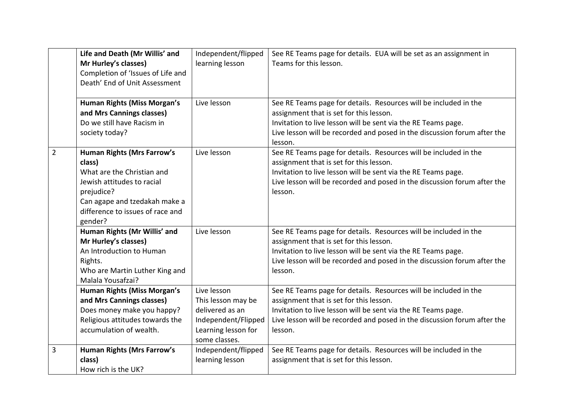|                | Life and Death (Mr Willis' and<br>Mr Hurley's classes)<br>Completion of 'Issues of Life and<br>Death' End of Unit Assessment                                                                          | Independent/flipped<br>learning lesson                                                                              | See RE Teams page for details. EUA will be set as an assignment in<br>Teams for this lesson.                                                                                                                                                                        |
|----------------|-------------------------------------------------------------------------------------------------------------------------------------------------------------------------------------------------------|---------------------------------------------------------------------------------------------------------------------|---------------------------------------------------------------------------------------------------------------------------------------------------------------------------------------------------------------------------------------------------------------------|
|                | Human Rights (Miss Morgan's<br>and Mrs Cannings classes)<br>Do we still have Racism in<br>society today?                                                                                              | Live lesson                                                                                                         | See RE Teams page for details. Resources will be included in the<br>assignment that is set for this lesson.<br>Invitation to live lesson will be sent via the RE Teams page.<br>Live lesson will be recorded and posed in the discussion forum after the<br>lesson. |
| $\overline{2}$ | <b>Human Rights (Mrs Farrow's</b><br>class)<br>What are the Christian and<br>Jewish attitudes to racial<br>prejudice?<br>Can agape and tzedakah make a<br>difference to issues of race and<br>gender? | Live lesson                                                                                                         | See RE Teams page for details. Resources will be included in the<br>assignment that is set for this lesson.<br>Invitation to live lesson will be sent via the RE Teams page.<br>Live lesson will be recorded and posed in the discussion forum after the<br>lesson. |
|                | Human Rights (Mr Willis' and<br>Mr Hurley's classes)<br>An Introduction to Human<br>Rights.<br>Who are Martin Luther King and<br>Malala Yousafzai?                                                    | Live lesson                                                                                                         | See RE Teams page for details. Resources will be included in the<br>assignment that is set for this lesson.<br>Invitation to live lesson will be sent via the RE Teams page.<br>Live lesson will be recorded and posed in the discussion forum after the<br>lesson. |
|                | Human Rights (Miss Morgan's<br>and Mrs Cannings classes)<br>Does money make you happy?<br>Religious attitudes towards the<br>accumulation of wealth.                                                  | Live lesson<br>This lesson may be<br>delivered as an<br>Independent/Flipped<br>Learning lesson for<br>some classes. | See RE Teams page for details. Resources will be included in the<br>assignment that is set for this lesson.<br>Invitation to live lesson will be sent via the RE Teams page.<br>Live lesson will be recorded and posed in the discussion forum after the<br>lesson. |
| 3              | <b>Human Rights (Mrs Farrow's</b><br>class)<br>How rich is the UK?                                                                                                                                    | Independent/flipped<br>learning lesson                                                                              | See RE Teams page for details. Resources will be included in the<br>assignment that is set for this lesson.                                                                                                                                                         |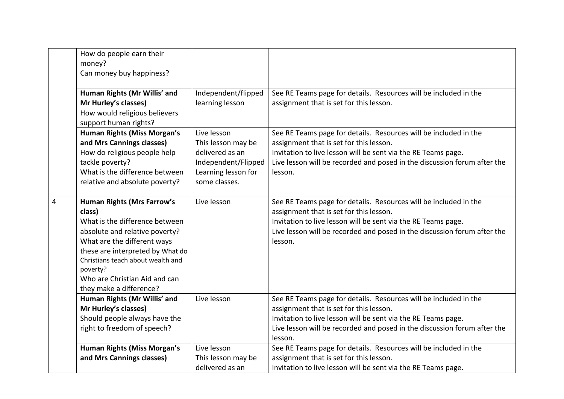|   | How do people earn their<br>money?<br>Can money buy happiness?                                                                                                                                                                                                                                  |                                                                                                                     |                                                                                                                                                                                                                                                                     |
|---|-------------------------------------------------------------------------------------------------------------------------------------------------------------------------------------------------------------------------------------------------------------------------------------------------|---------------------------------------------------------------------------------------------------------------------|---------------------------------------------------------------------------------------------------------------------------------------------------------------------------------------------------------------------------------------------------------------------|
|   | Human Rights (Mr Willis' and<br>Mr Hurley's classes)<br>How would religious believers<br>support human rights?                                                                                                                                                                                  | Independent/flipped<br>learning lesson                                                                              | See RE Teams page for details. Resources will be included in the<br>assignment that is set for this lesson.                                                                                                                                                         |
|   | Human Rights (Miss Morgan's<br>and Mrs Cannings classes)<br>How do religious people help<br>tackle poverty?<br>What is the difference between<br>relative and absolute poverty?                                                                                                                 | Live lesson<br>This lesson may be<br>delivered as an<br>Independent/Flipped<br>Learning lesson for<br>some classes. | See RE Teams page for details. Resources will be included in the<br>assignment that is set for this lesson.<br>Invitation to live lesson will be sent via the RE Teams page.<br>Live lesson will be recorded and posed in the discussion forum after the<br>lesson. |
| 4 | <b>Human Rights (Mrs Farrow's</b><br>class)<br>What is the difference between<br>absolute and relative poverty?<br>What are the different ways<br>these are interpreted by What do<br>Christians teach about wealth and<br>poverty?<br>Who are Christian Aid and can<br>they make a difference? | Live lesson                                                                                                         | See RE Teams page for details. Resources will be included in the<br>assignment that is set for this lesson.<br>Invitation to live lesson will be sent via the RE Teams page.<br>Live lesson will be recorded and posed in the discussion forum after the<br>lesson. |
|   | Human Rights (Mr Willis' and<br>Mr Hurley's classes)<br>Should people always have the<br>right to freedom of speech?                                                                                                                                                                            | Live lesson                                                                                                         | See RE Teams page for details. Resources will be included in the<br>assignment that is set for this lesson.<br>Invitation to live lesson will be sent via the RE Teams page.<br>Live lesson will be recorded and posed in the discussion forum after the<br>lesson. |
|   | Human Rights (Miss Morgan's<br>and Mrs Cannings classes)                                                                                                                                                                                                                                        | Live lesson<br>This lesson may be<br>delivered as an                                                                | See RE Teams page for details. Resources will be included in the<br>assignment that is set for this lesson.<br>Invitation to live lesson will be sent via the RE Teams page.                                                                                        |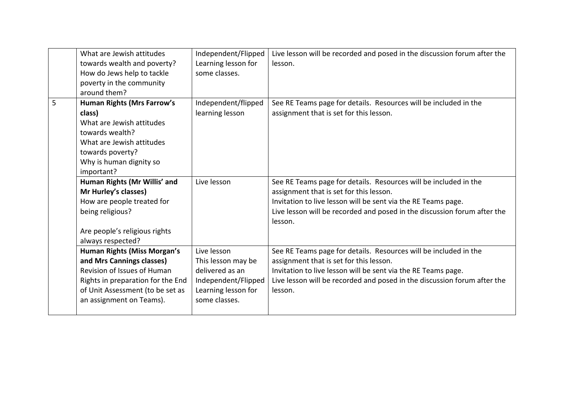|   | What are Jewish attitudes<br>towards wealth and poverty?<br>How do Jews help to tackle<br>poverty in the community<br>around them?                                                                  | Independent/Flipped<br>Learning lesson for<br>some classes.                                                         | Live lesson will be recorded and posed in the discussion forum after the<br>lesson.                                                                                                                                                                                 |
|---|-----------------------------------------------------------------------------------------------------------------------------------------------------------------------------------------------------|---------------------------------------------------------------------------------------------------------------------|---------------------------------------------------------------------------------------------------------------------------------------------------------------------------------------------------------------------------------------------------------------------|
| 5 | <b>Human Rights (Mrs Farrow's</b><br>class)<br>What are Jewish attitudes<br>towards wealth?<br>What are Jewish attitudes<br>towards poverty?<br>Why is human dignity so<br>important?               | Independent/flipped<br>learning lesson                                                                              | See RE Teams page for details. Resources will be included in the<br>assignment that is set for this lesson.                                                                                                                                                         |
|   | Human Rights (Mr Willis' and<br>Mr Hurley's classes)<br>How are people treated for<br>being religious?<br>Are people's religious rights<br>always respected?                                        | Live lesson                                                                                                         | See RE Teams page for details. Resources will be included in the<br>assignment that is set for this lesson.<br>Invitation to live lesson will be sent via the RE Teams page.<br>Live lesson will be recorded and posed in the discussion forum after the<br>lesson. |
|   | <b>Human Rights (Miss Morgan's</b><br>and Mrs Cannings classes)<br>Revision of Issues of Human<br>Rights in preparation for the End<br>of Unit Assessment (to be set as<br>an assignment on Teams). | Live lesson<br>This lesson may be<br>delivered as an<br>Independent/Flipped<br>Learning lesson for<br>some classes. | See RE Teams page for details. Resources will be included in the<br>assignment that is set for this lesson.<br>Invitation to live lesson will be sent via the RE Teams page.<br>Live lesson will be recorded and posed in the discussion forum after the<br>lesson. |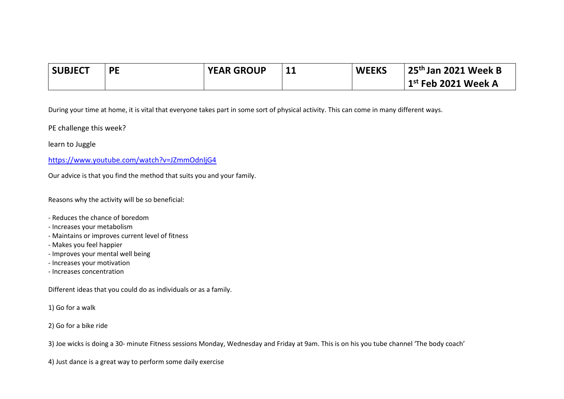| <b>SUBJECT</b> | <b>PF</b> | <b>YEAR GROUP</b> | ᆂᆂ | <b>WEEKS</b> | 25 <sup>th</sup> Jan 2021 Week B |
|----------------|-----------|-------------------|----|--------------|----------------------------------|
|                |           |                   |    |              | $1st$ Feb 2021 Week A            |

During your time at home, it is vital that everyone takes part in some sort of physical activity. This can come in many different ways.

PE challenge this week?

learn to Juggle

<https://www.youtube.com/watch?v=JZmmOdnljG4>

Our advice is that you find the method that suits you and your family.

Reasons why the activity will be so beneficial:

- Reduces the chance of boredom
- Increases your metabolism
- Maintains or improves current level of fitness
- Makes you feel happier
- Improves your mental well being
- Increases your motivation
- Increases concentration

Different ideas that you could do as individuals or as a family.

- 1) Go for a walk
- 2) Go for a bike ride

3) Joe wicks is doing a 30- minute Fitness sessions Monday, Wednesday and Friday at 9am. This is on his you tube channel 'The body coach'

4) Just dance is a great way to perform some daily exercise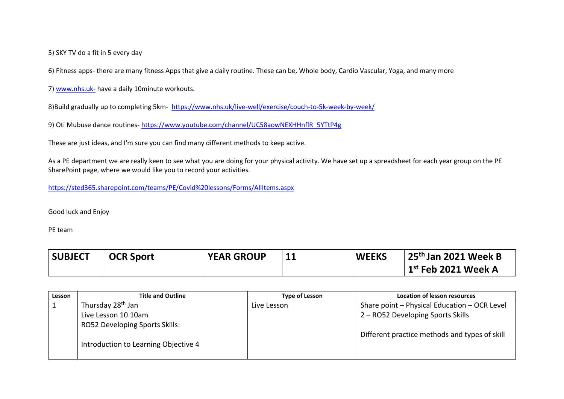5) SKY TV do a fit in 5 every day

6) Fitness apps- there are many fitness Apps that give a daily routine. These can be, Whole body, Cardio Vascular, Yoga, and many more

7) [www.nhs.uk-](http://www.nhs.uk-/) have a daily 10minute workouts.

8)Build gradually up to completing 5km- <https://www.nhs.uk/live-well/exercise/couch-to-5k-week-by-week/>

9) Oti Mubuse dance routines- [https://www.youtube.com/channel/UC58aowNEXHHnflR\\_5YTtP4g](https://www.youtube.com/channel/UC58aowNEXHHnflR_5YTtP4g)

These are just ideas, and I'm sure you can find many different methods to keep active.

As a PE department we are really keen to see what you are doing for your physical activity. We have set up a spreadsheet for each year group on the PE SharePoint page, where we would like you to record your activities.

<https://sted365.sharepoint.com/teams/PE/Covid%20lessons/Forms/AllItems.aspx>

Good luck and Enjoy

PE team

| <b>SUBJECT</b> | <b>OCR Sport</b> | <b>YEAR GROUP</b> | <b>11</b> | <b>WEEKS</b> | 25 <sup>th</sup> Jan 2021 Week B     |
|----------------|------------------|-------------------|-----------|--------------|--------------------------------------|
|                |                  |                   |           |              | $\mid$ 1 $^{\rm st}$ Feb 2021 Week A |

| Lesson | <b>Title and Outline</b>             | <b>Type of Lesson</b> | Location of lesson resources                  |
|--------|--------------------------------------|-----------------------|-----------------------------------------------|
|        | Thursday 28 <sup>th</sup> Jan        | Live Lesson           | Share point - Physical Education - OCR Level  |
|        | Live Lesson 10.10am                  |                       | 2 – RO52 Developing Sports Skills             |
|        | RO52 Developing Sports Skills:       |                       |                                               |
|        | Introduction to Learning Objective 4 |                       | Different practice methods and types of skill |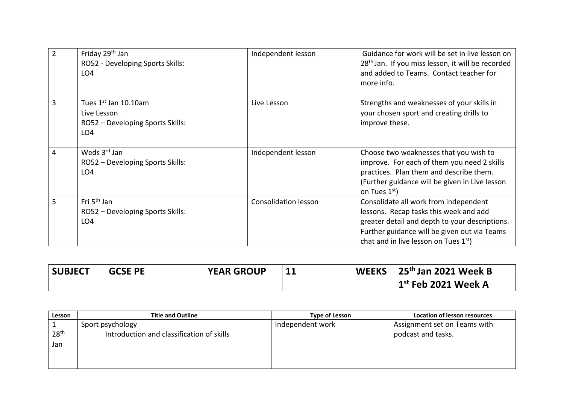| $\overline{2}$ | Friday 29 <sup>th</sup> Jan<br>RO52 - Developing Sports Skills:<br>LO <sub>4</sub>         | Independent lesson          | Guidance for work will be set in live lesson on<br>28 <sup>th</sup> Jan. If you miss lesson, it will be recorded<br>and added to Teams. Contact teacher for<br>more info.                                                              |
|----------------|--------------------------------------------------------------------------------------------|-----------------------------|----------------------------------------------------------------------------------------------------------------------------------------------------------------------------------------------------------------------------------------|
| 3              | Tues 1st Jan 10.10am<br>Live Lesson<br>RO52 - Developing Sports Skills:<br>LO <sub>4</sub> | Live Lesson                 | Strengths and weaknesses of your skills in<br>your chosen sport and creating drills to<br>improve these.                                                                                                                               |
| 4              | Weds 3rd Jan<br>RO52 - Developing Sports Skills:<br>LO <sub>4</sub>                        | Independent lesson          | Choose two weaknesses that you wish to<br>improve. For each of them you need 2 skills<br>practices. Plan them and describe them.<br>(Further guidance will be given in Live lesson<br>on Tues 1 <sup>st</sup> )                        |
| 5              | Fri 5 <sup>th</sup> Jan<br>RO52 - Developing Sports Skills:<br>LO <sub>4</sub>             | <b>Consolidation lesson</b> | Consolidate all work from independent<br>lessons. Recap tasks this week and add<br>greater detail and depth to your descriptions.<br>Further guidance will be given out via Teams<br>chat and in live lesson on Tues 1 <sup>st</sup> ) |

| <b>SUBJECT</b> | <b>GCSE PE</b> | <b>YEAR GROUP</b> | -14 | <b>WEEKS</b> | 25 <sup>th</sup> Jan 2021 Week B |
|----------------|----------------|-------------------|-----|--------------|----------------------------------|
|                |                |                   |     |              | $1st$ Feb 2021 Week A            |

| Lesson           | <b>Title and Outline</b>                  | Type of Lesson   | Location of lesson resources |
|------------------|-------------------------------------------|------------------|------------------------------|
|                  | Sport psychology                          | Independent work | Assignment set on Teams with |
| 28 <sup>th</sup> | Introduction and classification of skills |                  | podcast and tasks.           |
| Jan              |                                           |                  |                              |
|                  |                                           |                  |                              |
|                  |                                           |                  |                              |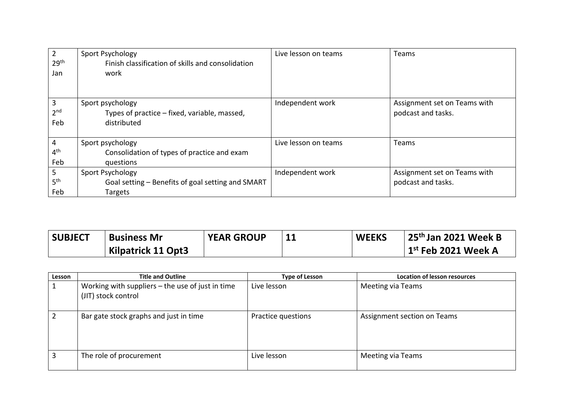|                  | Sport Psychology                                  | Live lesson on teams | Teams                        |
|------------------|---------------------------------------------------|----------------------|------------------------------|
| 29 <sup>th</sup> | Finish classification of skills and consolidation |                      |                              |
| Jan              | work                                              |                      |                              |
|                  |                                                   |                      |                              |
|                  |                                                   |                      |                              |
| 3                | Sport psychology                                  | Independent work     | Assignment set on Teams with |
| 2 <sub>nd</sub>  | Types of practice – fixed, variable, massed,      |                      | podcast and tasks.           |
| Feb              | distributed                                       |                      |                              |
|                  |                                                   |                      |                              |
| 4                | Sport psychology                                  | Live lesson on teams | Teams                        |
| 4 <sup>th</sup>  | Consolidation of types of practice and exam       |                      |                              |
| Feb              | questions                                         |                      |                              |
| 5.               | Sport Psychology                                  | Independent work     | Assignment set on Teams with |
| 5 <sup>th</sup>  | Goal setting - Benefits of goal setting and SMART |                      | podcast and tasks.           |
| Feb              | Targets                                           |                      |                              |

| <b>SUBJECT</b> | <b>Business Mr</b> | <b>YEAR GROUP</b> | 11 | <b>WEEKS</b> | 25 <sup>th</sup> Jan 2021 Week B     |
|----------------|--------------------|-------------------|----|--------------|--------------------------------------|
|                | Kilpatrick 11 Opt3 |                   |    |              | $\mid$ 1 $^{\rm st}$ Feb 2021 Week A |

| Lesson | <b>Title and Outline</b>                                                  | <b>Type of Lesson</b> | <b>Location of lesson resources</b> |
|--------|---------------------------------------------------------------------------|-----------------------|-------------------------------------|
|        | Working with suppliers $-$ the use of just in time<br>(JIT) stock control | Live lesson           | Meeting via Teams                   |
| າ      | Bar gate stock graphs and just in time                                    | Practice questions    | Assignment section on Teams         |
| 3      | The role of procurement                                                   | Live lesson           | Meeting via Teams                   |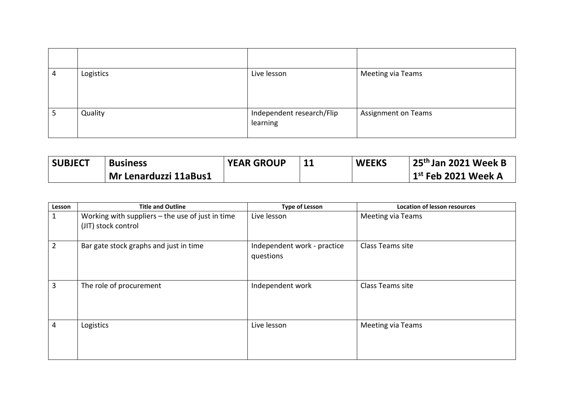| 4 | Logistics | Live lesson                           | Meeting via Teams          |
|---|-----------|---------------------------------------|----------------------------|
|   | Quality   | Independent research/Flip<br>learning | <b>Assignment on Teams</b> |

| <b>SUBJECT</b> | <b>Business</b>              | <b>YEAR GROUP</b> | <b>WEEKS</b> | 25 <sup>th</sup> Jan 2021 Week B |
|----------------|------------------------------|-------------------|--------------|----------------------------------|
|                | <b>Mr Lenarduzzi 11aBus1</b> |                   |              | $1st$ Feb 2021 Week A            |

| Lesson         | <b>Title and Outline</b>                                                  | <b>Type of Lesson</b>                    | <b>Location of lesson resources</b> |
|----------------|---------------------------------------------------------------------------|------------------------------------------|-------------------------------------|
| 1              | Working with suppliers $-$ the use of just in time<br>(JIT) stock control | Live lesson                              | <b>Meeting via Teams</b>            |
| $\overline{2}$ | Bar gate stock graphs and just in time                                    | Independent work - practice<br>questions | Class Teams site                    |
| 3              | The role of procurement                                                   | Independent work                         | Class Teams site                    |
| 4              | Logistics                                                                 | Live lesson                              | <b>Meeting via Teams</b>            |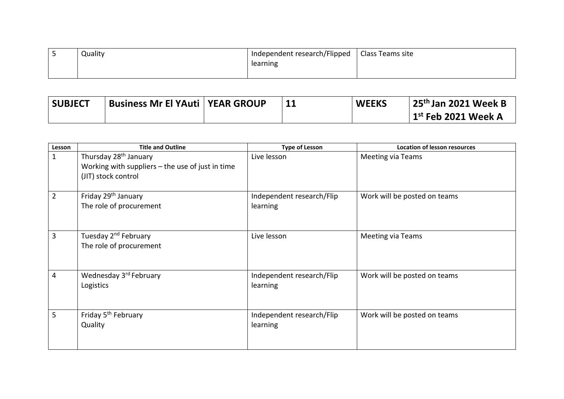| Quality | Independent research/Flipped   Class Teams site |  |
|---------|-------------------------------------------------|--|
|         | learning                                        |  |
|         |                                                 |  |

| <b>SUBJECT</b> | <b>Business Mr El YAuti   YEAR GROUP</b> |  | <b>WEEKS</b> | 25 <sup>th</sup> Jan 2021 Week B |
|----------------|------------------------------------------|--|--------------|----------------------------------|
|                |                                          |  |              | $1st$ Feb 2021 Week A            |

| Lesson         | <b>Title and Outline</b>                           | <b>Type of Lesson</b>     | <b>Location of lesson resources</b> |
|----------------|----------------------------------------------------|---------------------------|-------------------------------------|
| $\mathbf{1}$   | Thursday 28 <sup>th</sup> January                  | Live lesson               | <b>Meeting via Teams</b>            |
|                | Working with suppliers $-$ the use of just in time |                           |                                     |
|                | (JIT) stock control                                |                           |                                     |
|                |                                                    |                           |                                     |
| $\overline{2}$ | Friday 29 <sup>th</sup> January                    | Independent research/Flip | Work will be posted on teams        |
|                | The role of procurement                            | learning                  |                                     |
|                |                                                    |                           |                                     |
|                |                                                    |                           |                                     |
| 3              | Tuesday 2 <sup>nd</sup> February                   | Live lesson               | <b>Meeting via Teams</b>            |
|                | The role of procurement                            |                           |                                     |
|                |                                                    |                           |                                     |
|                |                                                    |                           |                                     |
| 4              | Wednesday 3rd February                             | Independent research/Flip | Work will be posted on teams        |
|                | Logistics                                          | learning                  |                                     |
|                |                                                    |                           |                                     |
|                |                                                    |                           |                                     |
| 5              | Friday 5 <sup>th</sup> February                    | Independent research/Flip | Work will be posted on teams        |
|                | Quality                                            | learning                  |                                     |
|                |                                                    |                           |                                     |
|                |                                                    |                           |                                     |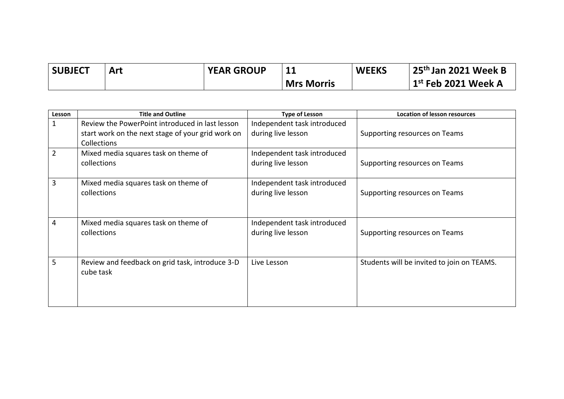| <b>SUBJECT</b> | Art | <b>YEAR GROUP</b> |                   | <b>WEEKS</b> | 25 <sup>th</sup> Jan 2021 Week B |
|----------------|-----|-------------------|-------------------|--------------|----------------------------------|
|                |     |                   | <b>Mrs Morris</b> |              | $1st$ Feb 2021 Week A            |

| Lesson         | <b>Title and Outline</b>                                                                                                   | <b>Type of Lesson</b>                             | <b>Location of lesson resources</b>        |
|----------------|----------------------------------------------------------------------------------------------------------------------------|---------------------------------------------------|--------------------------------------------|
| 1              | Review the PowerPoint introduced in last lesson<br>start work on the next stage of your grid work on<br><b>Collections</b> | Independent task introduced<br>during live lesson | Supporting resources on Teams              |
| $\overline{2}$ | Mixed media squares task on theme of<br>collections                                                                        | Independent task introduced<br>during live lesson | Supporting resources on Teams              |
| 3              | Mixed media squares task on theme of<br>collections                                                                        | Independent task introduced<br>during live lesson | Supporting resources on Teams              |
| 4              | Mixed media squares task on theme of<br>collections                                                                        | Independent task introduced<br>during live lesson | Supporting resources on Teams              |
| 5              | Review and feedback on grid task, introduce 3-D<br>cube task                                                               | Live Lesson                                       | Students will be invited to join on TEAMS. |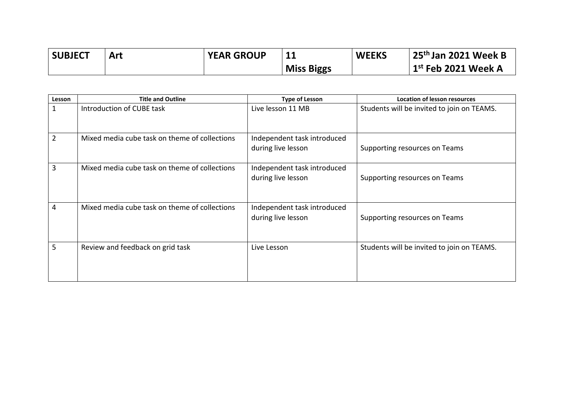| <b>SUBJECT</b> | Art | <b>YEAR GROUP</b> |                   | <b>WEEKS</b> | $\frac{1}{2}$ 25 <sup>th</sup> Jan 2021 Week B |
|----------------|-----|-------------------|-------------------|--------------|------------------------------------------------|
|                |     |                   | <b>Miss Biggs</b> |              | $\,$ 1 $^{\rm st}$ Feb 2021 Week A             |

| Lesson | <b>Title and Outline</b>                      | <b>Type of Lesson</b>                             | <b>Location of lesson resources</b>        |
|--------|-----------------------------------------------|---------------------------------------------------|--------------------------------------------|
| 1      | Introduction of CUBE task                     | Live lesson 11 MB                                 | Students will be invited to join on TEAMS. |
| 2      | Mixed media cube task on theme of collections | Independent task introduced<br>during live lesson | Supporting resources on Teams              |
| 3      | Mixed media cube task on theme of collections | Independent task introduced<br>during live lesson | Supporting resources on Teams              |
| 4      | Mixed media cube task on theme of collections | Independent task introduced<br>during live lesson | Supporting resources on Teams              |
| 5      | Review and feedback on grid task              | Live Lesson                                       | Students will be invited to join on TEAMS. |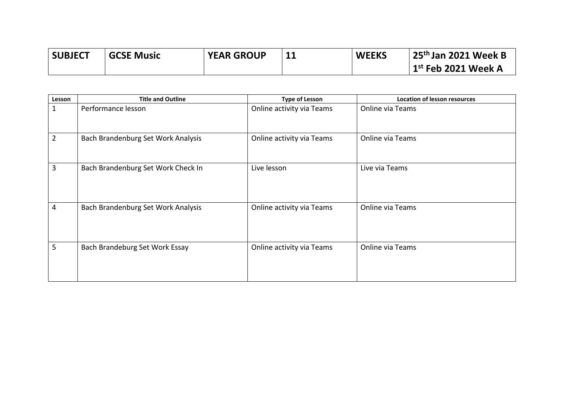| <b>SUBJECT</b> | <b>GCSE Music</b> | <b>YEAR GROUP</b> | <b>WEEKS</b> | 25 <sup>th</sup> Jan 2021 Week B |
|----------------|-------------------|-------------------|--------------|----------------------------------|
|                |                   |                   |              | $1st$ Feb 2021 Week A            |

| Lesson         | <b>Title and Outline</b>           | <b>Type of Lesson</b>     | <b>Location of lesson resources</b> |
|----------------|------------------------------------|---------------------------|-------------------------------------|
| 1              | Performance lesson                 | Online activity via Teams | Online via Teams                    |
| $\overline{2}$ | Bach Brandenburg Set Work Analysis | Online activity via Teams | Online via Teams                    |
| 3              | Bach Brandenburg Set Work Check In | Live lesson               | Live via Teams                      |
| 4              | Bach Brandenburg Set Work Analysis | Online activity via Teams | Online via Teams                    |
| 5              | Bach Brandeburg Set Work Essay     | Online activity via Teams | Online via Teams                    |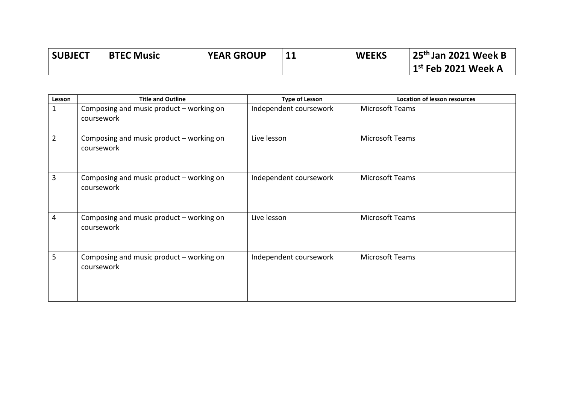| <b>SUBJECT</b> | <b>BTEC Music</b> | <b>YEAR GROUP</b> | <b>WEEKS</b> | 25 <sup>th</sup> Jan 2021 Week B |
|----------------|-------------------|-------------------|--------------|----------------------------------|
|                |                   |                   |              | $^{\prime}$ 1st Feb 2021 Week A  |

| Lesson | <b>Title and Outline</b>                               | <b>Type of Lesson</b>  | <b>Location of lesson resources</b> |
|--------|--------------------------------------------------------|------------------------|-------------------------------------|
| 1      | Composing and music product - working on<br>coursework | Independent coursework | Microsoft Teams                     |
| 2      | Composing and music product - working on<br>coursework | Live lesson            | Microsoft Teams                     |
| 3      | Composing and music product - working on<br>coursework | Independent coursework | Microsoft Teams                     |
| 4      | Composing and music product - working on<br>coursework | Live lesson            | Microsoft Teams                     |
| 5      | Composing and music product - working on<br>coursework | Independent coursework | Microsoft Teams                     |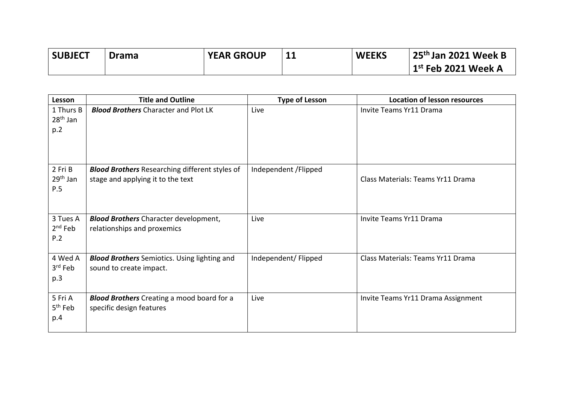| <b>SUBJECT</b> | <b>Drama</b> | <b>YEAR GROUP</b> | <b>WEEKS</b> | $\frac{1}{2}$ 25 <sup>th</sup> Jan 2021 Week B |
|----------------|--------------|-------------------|--------------|------------------------------------------------|
|                |              |                   |              | $1st$ Feb 2021 Week A                          |

| Lesson                                 | <b>Title and Outline</b>                                                                   | <b>Type of Lesson</b> | <b>Location of lesson resources</b> |
|----------------------------------------|--------------------------------------------------------------------------------------------|-----------------------|-------------------------------------|
| 1 Thurs B<br>$28th$ Jan<br>p.2         | <b>Blood Brothers Character and Plot LK</b>                                                | Live                  | Invite Teams Yr11 Drama             |
| 2 Fri B<br>29 <sup>th</sup> Jan<br>P.5 | <b>Blood Brothers</b> Researching different styles of<br>stage and applying it to the text | Independent / Flipped | Class Materials: Teams Yr11 Drama   |
| 3 Tues A<br>$2nd$ Feb<br>P.2           | <b>Blood Brothers</b> Character development,<br>relationships and proxemics                | Live                  | Invite Teams Yr11 Drama             |
| 4 Wed A<br>3rd Feb<br>p.3              | <b>Blood Brothers</b> Semiotics. Using lighting and<br>sound to create impact.             | Independent/ Flipped  | Class Materials: Teams Yr11 Drama   |
| 5 Fri A<br>5 <sup>th</sup> Feb<br>p.4  | <b>Blood Brothers</b> Creating a mood board for a<br>specific design features              | Live                  | Invite Teams Yr11 Drama Assignment  |